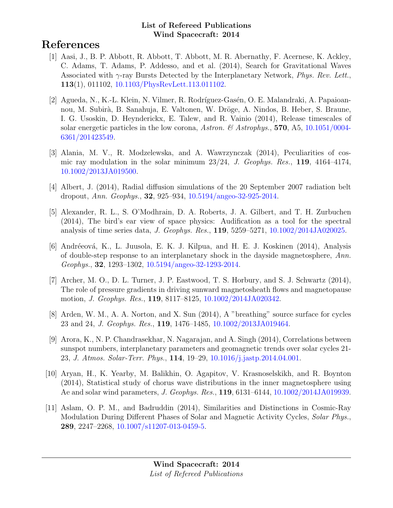# References

- [1] Aasi, J., B. P. Abbott, R. Abbott, T. Abbott, M. R. Abernathy, F. Acernese, K. Ackley, C. Adams, T. Adams, P. Addesso, and et al. (2014), Search for Gravitational Waves Associated with  $\gamma$ -ray Bursts Detected by the Interplanetary Network, *Phys. Rev. Lett.*, 113(1), 011102, [10.1103/PhysRevLett.113.011102.](http://dx.doi.org/10.1103/PhysRevLett.113.011102)
- [2] Agueda, N., K.-L. Klein, N. Vilmer, R. Rodríguez-Gasén, O. E. Malandraki, A. Papaioannou, M. Subirà, B. Sanahuja, E. Valtonen, W. Dröge, A. Nindos, B. Heber, S. Braune, I. G. Usoskin, D. Heynderickx, E. Talew, and R. Vainio (2014), Release timescales of solar energetic particles in the low corona, Astron. & Astrophys., 570, A5, [10.1051/0004-](http://dx.doi.org/10.1051/0004-6361/201423549) [6361/201423549.](http://dx.doi.org/10.1051/0004-6361/201423549)
- [3] Alania, M. V., R. Modzelewska, and A. Wawrzynczak (2014), Peculiarities of cosmic ray modulation in the solar minimum 23/24, J. Geophys. Res., 119, 4164–4174, [10.1002/2013JA019500.](http://dx.doi.org/10.1002/2013JA019500)
- [4] Albert, J. (2014), Radial diffusion simulations of the 20 September 2007 radiation belt dropout, Ann. Geophys., 32, 925–934, [10.5194/angeo-32-925-2014.](http://dx.doi.org/10.5194/angeo-32-925-2014)
- [5] Alexander, R. L., S. O'Modhrain, D. A. Roberts, J. A. Gilbert, and T. H. Zurbuchen (2014), The bird's ear view of space physics: Audification as a tool for the spectral analysis of time series data, J. Geophys. Res., 119, 5259–5271, [10.1002/2014JA020025.](http://dx.doi.org/10.1002/2014JA020025)
- [6] Andréeová, K., L. Juusola, E. K. J. Kilpua, and H. E. J. Koskinen (2014), Analysis of double-step response to an interplanetary shock in the dayside magnetosphere, Ann. Geophys., 32, 1293–1302, [10.5194/angeo-32-1293-2014.](http://dx.doi.org/10.5194/angeo-32-1293-2014)
- [7] Archer, M. O., D. L. Turner, J. P. Eastwood, T. S. Horbury, and S. J. Schwartz (2014), The role of pressure gradients in driving sunward magnetosheath flows and magnetopause motion, J. Geophys. Res., 119, 8117–8125, [10.1002/2014JA020342.](http://dx.doi.org/10.1002/2014JA020342)
- [8] Arden, W. M., A. A. Norton, and X. Sun (2014), A "breathing" source surface for cycles 23 and 24, J. Geophys. Res., 119, 1476–1485, [10.1002/2013JA019464.](http://dx.doi.org/10.1002/2013JA019464)
- [9] Arora, K., N. P. Chandrasekhar, N. Nagarajan, and A. Singh (2014), Correlations between sunspot numbers, interplanetary parameters and geomagnetic trends over solar cycles 21- 23, J. Atmos. Solar-Terr. Phys., 114, 19–29, [10.1016/j.jastp.2014.04.001.](http://dx.doi.org/10.1016/j.jastp.2014.04.001)
- [10] Aryan, H., K. Yearby, M. Balikhin, O. Agapitov, V. Krasnoselskikh, and R. Boynton (2014), Statistical study of chorus wave distributions in the inner magnetosphere using Ae and solar wind parameters, J. Geophys. Res., 119, 6131–6144, [10.1002/2014JA019939.](http://dx.doi.org/10.1002/2014JA019939)
- [11] Aslam, O. P. M., and Badruddin (2014), Similarities and Distinctions in Cosmic-Ray Modulation During Different Phases of Solar and Magnetic Activity Cycles, Solar Phys., 289, 2247–2268, [10.1007/s11207-013-0459-5.](http://dx.doi.org/10.1007/s11207-013-0459-5)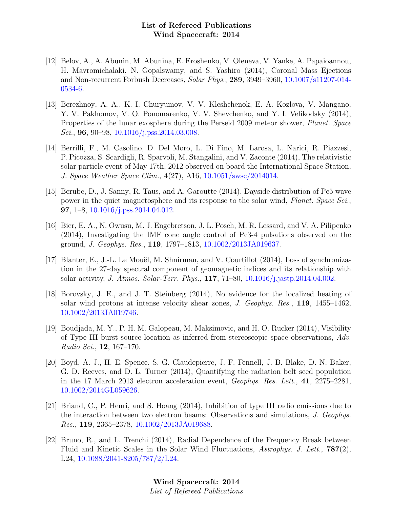- [12] Belov, A., A. Abunin, M. Abunina, E. Eroshenko, V. Oleneva, V. Yanke, A. Papaioannou, H. Mavromichalaki, N. Gopalswamy, and S. Yashiro (2014), Coronal Mass Ejections and Non-recurrent Forbush Decreases, Solar Phys., 289, 3949–3960, [10.1007/s11207-014-](http://dx.doi.org/10.1007/s11207-014-0534-6) [0534-6.](http://dx.doi.org/10.1007/s11207-014-0534-6)
- [13] Berezhnoy, A. A., K. I. Churyumov, V. V. Kleshchenok, E. A. Kozlova, V. Mangano, Y. V. Pakhomov, V. O. Ponomarenko, V. V. Shevchenko, and Y. I. Velikodsky (2014), Properties of the lunar exosphere during the Perseid 2009 meteor shower, Planet. Space Sci., **96**, 90–98,  $10.1016/j. \text{pss}.2014.03.008$ .
- [14] Berrilli, F., M. Casolino, D. Del Moro, L. Di Fino, M. Larosa, L. Narici, R. Piazzesi, P. Picozza, S. Scardigli, R. Sparvoli, M. Stangalini, and V. Zaconte (2014), The relativistic solar particle event of May 17th, 2012 observed on board the International Space Station, J. Space Weather Space Clim., 4(27), A16, [10.1051/swsc/2014014.](http://dx.doi.org/10.1051/swsc/2014014)
- [15] Berube, D., J. Sanny, R. Taus, and A. Garoutte (2014), Dayside distribution of Pc5 wave power in the quiet magnetosphere and its response to the solar wind, *Planet. Space Sci.*, **97**, 1–8,  $10.1016$ /j.pss.2014.04.012.
- [16] Bier, E. A., N. Owusu, M. J. Engebretson, J. L. Posch, M. R. Lessard, and V. A. Pilipenko (2014), Investigating the IMF cone angle control of Pc3-4 pulsations observed on the ground, J. Geophys. Res., 119, 1797–1813, [10.1002/2013JA019637.](http://dx.doi.org/10.1002/2013JA019637)
- [17] Blanter, E., J.-L. Le Mouël, M. Shnirman, and V. Courtillot  $(2014)$ , Loss of synchronization in the 27-day spectral component of geomagnetic indices and its relationship with solar activity, J. Atmos. Solar-Terr. Phys., 117, 71–80, [10.1016/j.jastp.2014.04.002.](http://dx.doi.org/10.1016/j.jastp.2014.04.002)
- [18] Borovsky, J. E., and J. T. Steinberg (2014), No evidence for the localized heating of solar wind protons at intense velocity shear zones, J. Geophys. Res., 119, 1455–1462, [10.1002/2013JA019746.](http://dx.doi.org/10.1002/2013JA019746)
- [19] Boudjada, M. Y., P. H. M. Galopeau, M. Maksimovic, and H. O. Rucker (2014), Visibility of Type III burst source location as inferred from stereoscopic space observations, Adv. Radio Sci., 12, 167–170.
- [20] Boyd, A. J., H. E. Spence, S. G. Claudepierre, J. F. Fennell, J. B. Blake, D. N. Baker, G. D. Reeves, and D. L. Turner (2014), Quantifying the radiation belt seed population in the 17 March 2013 electron acceleration event, Geophys. Res. Lett., 41, 2275–2281, [10.1002/2014GL059626.](http://dx.doi.org/10.1002/2014GL059626)
- [21] Briand, C., P. Henri, and S. Hoang (2014), Inhibition of type III radio emissions due to the interaction between two electron beams: Observations and simulations, J. Geophys. Res., 119, 2365–2378, [10.1002/2013JA019688.](http://dx.doi.org/10.1002/2013JA019688)
- [22] Bruno, R., and L. Trenchi (2014), Radial Dependence of the Frequency Break between Fluid and Kinetic Scales in the Solar Wind Fluctuations, Astrophys. J. Lett.,  $787(2)$ , L24, [10.1088/2041-8205/787/2/L24.](http://dx.doi.org/10.1088/2041-8205/787/2/L24)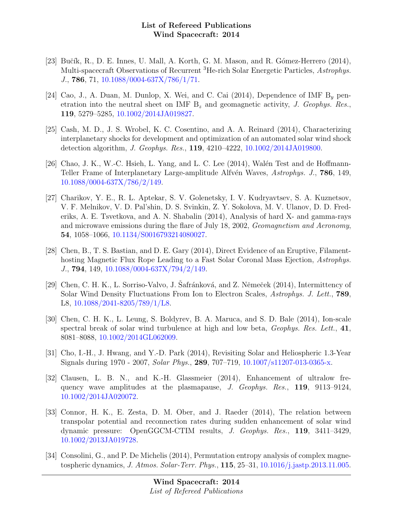- [23] Bučík, R., D. E. Innes, U. Mall, A. Korth, G. M. Mason, and R. Gómez-Herrero (2014), Multi-spacecraft Observations of Recurrent <sup>3</sup>He-rich Solar Energetic Particles, Astrophys. J., 786, 71, [10.1088/0004-637X/786/1/71.](http://dx.doi.org/10.1088/0004-637X/786/1/71)
- [24] Cao, J., A. Duan, M. Dunlop, X. Wei, and C. Cai  $(2014)$ , Dependence of IMF B<sub>y</sub> penetration into the neutral sheet on IMF  $B<sub>z</sub>$  and geomagnetic activity, J. Geophys. Res., 119, 5279–5285, [10.1002/2014JA019827.](http://dx.doi.org/10.1002/2014JA019827)
- [25] Cash, M. D., J. S. Wrobel, K. C. Cosentino, and A. A. Reinard (2014), Characterizing interplanetary shocks for development and optimization of an automated solar wind shock detection algorithm, J. Geophys. Res., 119, 4210–4222, [10.1002/2014JA019800.](http://dx.doi.org/10.1002/2014JA019800)
- [26] Chao, J. K., W.-C. Hsieh, L. Yang, and L. C. Lee  $(2014)$ , Walén Test and de Hoffmann-Teller Frame of Interplanetary Large-amplitude Alfvén Waves, Astrophys. J., **786**, 149, [10.1088/0004-637X/786/2/149.](http://dx.doi.org/10.1088/0004-637X/786/2/149)
- [27] Charikov, Y. E., R. L. Aptekar, S. V. Golenetsky, I. V. Kudryavtsev, S. A. Kuznetsov, V. F. Melnikov, V. D. Pal'shin, D. S. Svinkin, Z. Y. Sokolova, M. V. Ulanov, D. D. Frederiks, A. E. Tsvetkova, and A. N. Shabalin (2014), Analysis of hard X- and gamma-rays and microwave emissions during the flare of July 18, 2002, Geomagnetism and Aeronomy, 54, 1058–1066, [10.1134/S0016793214080027.](http://dx.doi.org/10.1134/S0016793214080027)
- [28] Chen, B., T. S. Bastian, and D. E. Gary (2014), Direct Evidence of an Eruptive, Filamenthosting Magnetic Flux Rope Leading to a Fast Solar Coronal Mass Ejection, Astrophys. J., 794, 149, [10.1088/0004-637X/794/2/149.](http://dx.doi.org/10.1088/0004-637X/794/2/149)
- [29] Chen, C. H. K., L. Sorriso-Valvo, J. Safránková, and Z. Němeček (2014), Intermittency of Solar Wind Density Fluctuations From Ion to Electron Scales, Astrophys. J. Lett., 789, L8, [10.1088/2041-8205/789/1/L8.](http://dx.doi.org/10.1088/2041-8205/789/1/L8)
- [30] Chen, C. H. K., L. Leung, S. Boldyrev, B. A. Maruca, and S. D. Bale (2014), Ion-scale spectral break of solar wind turbulence at high and low beta, *Geophys. Res. Lett.*, 41, 8081–8088, [10.1002/2014GL062009.](http://dx.doi.org/10.1002/2014GL062009)
- [31] Cho, I.-H., J. Hwang, and Y.-D. Park (2014), Revisiting Solar and Heliospheric 1.3-Year Signals during 1970 - 2007, Solar Phys., 289, 707–719, [10.1007/s11207-013-0365-x.](http://dx.doi.org/10.1007/s11207-013-0365-x)
- [32] Clausen, L. B. N., and K.-H. Glassmeier (2014), Enhancement of ultralow frequency wave amplitudes at the plasmapause, J. Geophys. Res., 119, 9113–9124, [10.1002/2014JA020072.](http://dx.doi.org/10.1002/2014JA020072)
- [33] Connor, H. K., E. Zesta, D. M. Ober, and J. Raeder (2014), The relation between transpolar potential and reconnection rates during sudden enhancement of solar wind dynamic pressure: OpenGGCM-CTIM results, J. Geophys. Res., 119, 3411–3429, [10.1002/2013JA019728.](http://dx.doi.org/10.1002/2013JA019728)
- [34] Consolini, G., and P. De Michelis (2014), Permutation entropy analysis of complex magnetospheric dynamics, J. Atmos. Solar-Terr. Phys., 115, 25–31, [10.1016/j.jastp.2013.11.005.](http://dx.doi.org/10.1016/j.jastp.2013.11.005)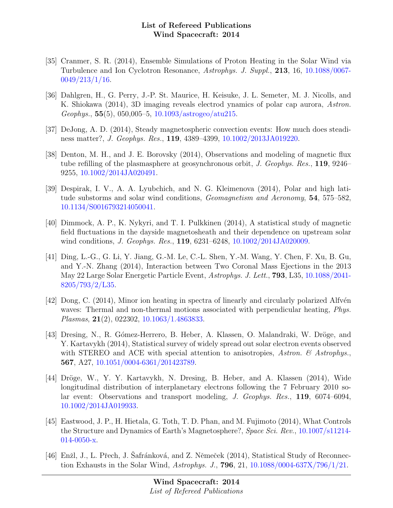- [35] Cranmer, S. R. (2014), Ensemble Simulations of Proton Heating in the Solar Wind via Turbulence and Ion Cyclotron Resonance, Astrophys. J. Suppl., 213, 16, [10.1088/0067-](http://dx.doi.org/10.1088/0067-0049/213/1/16) [0049/213/1/16.](http://dx.doi.org/10.1088/0067-0049/213/1/16)
- [36] Dahlgren, H., G. Perry, J.-P. St. Maurice, H. Keisuke, J. L. Semeter, M. J. Nicolls, and K. Shiokawa (2014), 3D imaging reveals electrod ynamics of polar cap aurora, Astron.  $Geophys.$ , 55(5), 050,005–5, [10.1093/astrogeo/atu215.](http://dx.doi.org/10.1093/astrogeo/atu215)
- [37] DeJong, A. D. (2014), Steady magnetospheric convection events: How much does steadiness matter?, J. Geophys. Res., 119, 4389–4399, [10.1002/2013JA019220.](http://dx.doi.org/10.1002/2013JA019220)
- [38] Denton, M. H., and J. E. Borovsky (2014), Observations and modeling of magnetic flux tube refilling of the plasmasphere at geosynchronous orbit, J. Geophys. Res., 119, 9246– 9255, [10.1002/2014JA020491.](http://dx.doi.org/10.1002/2014JA020491)
- [39] Despirak, I. V., A. A. Lyubchich, and N. G. Kleimenova (2014), Polar and high latitude substorms and solar wind conditions, Geomagnetism and Aeronomy, 54, 575–582, [10.1134/S0016793214050041.](http://dx.doi.org/10.1134/S0016793214050041)
- [40] Dimmock, A. P., K. Nykyri, and T. I. Pulkkinen (2014), A statistical study of magnetic field fluctuations in the dayside magnetosheath and their dependence on upstream solar wind conditions, *J. Geophys. Res.*, **119**, 6231–6248, [10.1002/2014JA020009.](http://dx.doi.org/10.1002/2014JA020009)
- [41] Ding, L.-G., G. Li, Y. Jiang, G.-M. Le, C.-L. Shen, Y.-M. Wang, Y. Chen, F. Xu, B. Gu, and Y.-N. Zhang (2014), Interaction between Two Coronal Mass Ejections in the 2013 May 22 Large Solar Energetic Particle Event, Astrophys. J. Lett., 793, L35, [10.1088/2041-](http://dx.doi.org/10.1088/2041-8205/793/2/L35) [8205/793/2/L35.](http://dx.doi.org/10.1088/2041-8205/793/2/L35)
- $[42]$  Dong, C.  $(2014)$ , Minor ion heating in spectra of linearly and circularly polarized Alfvén waves: Thermal and non-thermal motions associated with perpendicular heating, *Phys.* Plasmas, 21(2), 022302, [10.1063/1.4863833.](http://dx.doi.org/10.1063/1.4863833)
- [43] Dresing, N., R. Gómez-Herrero, B. Heber, A. Klassen, O. Malandraki, W. Dröge, and Y. Kartavykh (2014), Statistical survey of widely spread out solar electron events observed with STEREO and ACE with special attention to anisotropies, Astron.  $\mathcal{C}$  Astrophys. 567, A27, [10.1051/0004-6361/201423789.](http://dx.doi.org/10.1051/0004-6361/201423789)
- [44] Dröge, W., Y. Y. Kartavykh, N. Dresing, B. Heber, and A. Klassen (2014), Wide longitudinal distribution of interplanetary electrons following the 7 February 2010 solar event: Observations and transport modeling, J. Geophys. Res., 119, 6074–6094, [10.1002/2014JA019933.](http://dx.doi.org/10.1002/2014JA019933)
- [45] Eastwood, J. P., H. Hietala, G. Toth, T. D. Phan, and M. Fujimoto (2014), What Controls the Structure and Dynamics of Earth's Magnetosphere?, Space Sci. Rev., [10.1007/s11214-](http://dx.doi.org/10.1007/s11214-014-0050-x) [014-0050-x.](http://dx.doi.org/10.1007/s11214-014-0050-x)
- [46] Enžl, J., L. Přech, J. Safránková, and Z. Němeček (2014), Statistical Study of Reconnection Exhausts in the Solar Wind, Astrophys. J., 796, 21, [10.1088/0004-637X/796/1/21.](http://dx.doi.org/10.1088/0004-637X/796/1/21)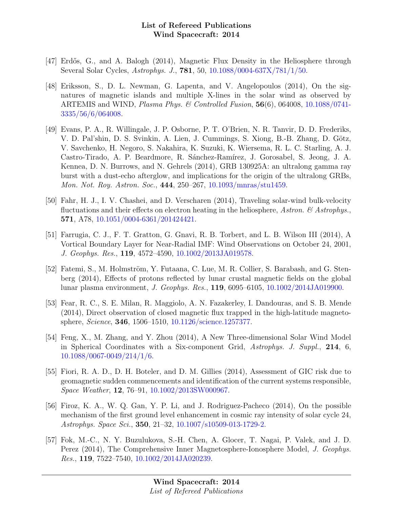- [47] Erdős, G., and A. Balogh (2014), Magnetic Flux Density in the Heliosphere through Several Solar Cycles, Astrophys. J., 781, 50, [10.1088/0004-637X/781/1/50.](http://dx.doi.org/10.1088/0004-637X/781/1/50)
- [48] Eriksson, S., D. L. Newman, G. Lapenta, and V. Angelopoulos (2014), On the signatures of magnetic islands and multiple X-lines in the solar wind as observed by ARTEMIS and WIND, Plasma Phys. & Controlled Fusion,  $56(6)$ ,  $064008$ ,  $10.1088/0741$ [3335/56/6/064008.](http://dx.doi.org/10.1088/0741-3335/56/6/064008)
- [49] Evans, P. A., R. Willingale, J. P. Osborne, P. T. O'Brien, N. R. Tanvir, D. D. Frederiks, V. D. Pal'shin, D. S. Svinkin, A. Lien, J. Cummings, S. Xiong, B.-B. Zhang, D. Götz, V. Savchenko, H. Negoro, S. Nakahira, K. Suzuki, K. Wiersema, R. L. C. Starling, A. J. Castro-Tirado, A. P. Beardmore, R. Sánchez-Ramírez, J. Gorosabel, S. Jeong, J. A. Kennea, D. N. Burrows, and N. Gehrels (2014), GRB 130925A: an ultralong gamma ray burst with a dust-echo afterglow, and implications for the origin of the ultralong GRBs, Mon. Not. Roy. Astron. Soc., 444, 250–267, [10.1093/mnras/stu1459.](http://dx.doi.org/10.1093/mnras/stu1459)
- [50] Fahr, H. J., I. V. Chashei, and D. Verscharen (2014), Traveling solar-wind bulk-velocity fluctuations and their effects on electron heating in the heliosphere, Astron.  $\mathcal{C}$  Astrophys. 571, A78, [10.1051/0004-6361/201424421.](http://dx.doi.org/10.1051/0004-6361/201424421)
- [51] Farrugia, C. J., F. T. Gratton, G. Gnavi, R. B. Torbert, and L. B. Wilson III (2014), A Vortical Boundary Layer for Near-Radial IMF: Wind Observations on October 24, 2001, J. Geophys. Res., 119, 4572–4590, [10.1002/2013JA019578.](http://dx.doi.org/10.1002/2013JA019578)
- [52] Fatemi, S., M. Holmström, Y. Futaana, C. Lue, M. R. Collier, S. Barabash, and G. Stenberg (2014), Effects of protons reflected by lunar crustal magnetic fields on the global lunar plasma environment, J. Geophys. Res., 119, 6095–6105, [10.1002/2014JA019900.](http://dx.doi.org/10.1002/2014JA019900)
- [53] Fear, R. C., S. E. Milan, R. Maggiolo, A. N. Fazakerley, I. Dandouras, and S. B. Mende (2014), Direct observation of closed magnetic flux trapped in the high-latitude magnetosphere, Science, 346, 1506–1510, [10.1126/science.1257377.](http://dx.doi.org/10.1126/science.1257377)
- [54] Feng, X., M. Zhang, and Y. Zhou (2014), A New Three-dimensional Solar Wind Model in Spherical Coordinates with a Six-component Grid, Astrophys. J. Suppl., 214, 6, [10.1088/0067-0049/214/1/6.](http://dx.doi.org/10.1088/0067-0049/214/1/6)
- [55] Fiori, R. A. D., D. H. Boteler, and D. M. Gillies (2014), Assessment of GIC risk due to geomagnetic sudden commencements and identification of the current systems responsible, Space Weather, 12, 76–91, [10.1002/2013SW000967.](http://dx.doi.org/10.1002/2013SW000967)
- [56] Firoz, K. A., W. Q. Gan, Y. P. Li, and J. Rodriguez-Pacheco (2014), On the possible mechanism of the first ground level enhancement in cosmic ray intensity of solar cycle 24, Astrophys. Space Sci., 350, 21–32, [10.1007/s10509-013-1729-2.](http://dx.doi.org/10.1007/s10509-013-1729-2)
- [57] Fok, M.-C., N. Y. Buzulukova, S.-H. Chen, A. Glocer, T. Nagai, P. Valek, and J. D. Perez (2014), The Comprehensive Inner Magnetosphere-Ionosphere Model, J. Geophys. Res., 119, 7522–7540, [10.1002/2014JA020239.](http://dx.doi.org/10.1002/2014JA020239)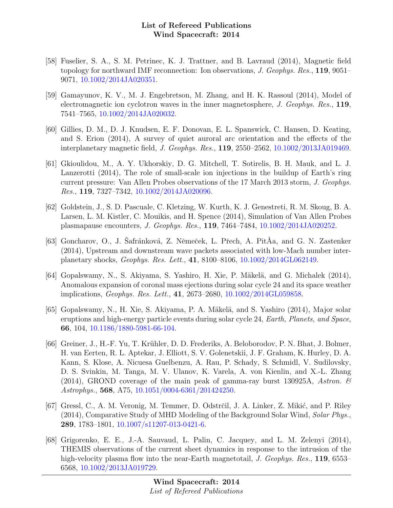- [58] Fuselier, S. A., S. M. Petrinec, K. J. Trattner, and B. Lavraud (2014), Magnetic field topology for northward IMF reconnection: Ion observations, *J. Geophys. Res.*, **119**, 9051– 9071, [10.1002/2014JA020351.](http://dx.doi.org/10.1002/2014JA020351)
- [59] Gamayunov, K. V., M. J. Engebretson, M. Zhang, and H. K. Rassoul (2014), Model of electromagnetic ion cyclotron waves in the inner magnetosphere, J. Geophys. Res., 119, 7541–7565, [10.1002/2014JA020032.](http://dx.doi.org/10.1002/2014JA020032)
- [60] Gillies, D. M., D. J. Knudsen, E. F. Donovan, E. L. Spanswick, C. Hansen, D. Keating, and S. Erion (2014), A survey of quiet auroral arc orientation and the effects of the interplanetary magnetic field, J. Geophys. Res., 119, 2550–2562, [10.1002/2013JA019469.](http://dx.doi.org/10.1002/2013JA019469)
- [61] Gkioulidou, M., A. Y. Ukhorskiy, D. G. Mitchell, T. Sotirelis, B. H. Mauk, and L. J. Lanzerotti (2014), The role of small-scale ion injections in the buildup of Earth's ring current pressure: Van Allen Probes observations of the 17 March 2013 storm, J. Geophys. Res., 119, 7327–7342, [10.1002/2014JA020096.](http://dx.doi.org/10.1002/2014JA020096)
- [62] Goldstein, J., S. D. Pascuale, C. Kletzing, W. Kurth, K. J. Genestreti, R. M. Skoug, B. A. Larsen, L. M. Kistler, C. Mouikis, and H. Spence (2014), Simulation of Van Allen Probes plasmapause encounters, J. Geophys. Res., 119, 7464–7484, [10.1002/2014JA020252.](http://dx.doi.org/10.1002/2014JA020252)
- [63] Goncharov, O., J. Safránková, Z. Němeček, L. Přech, A. Pit Åa, and G. N. Zastenker (2014), Upstream and downstream wave packets associated with low-Mach number interplanetary shocks, Geophys. Res. Lett., 41, 8100–8106, [10.1002/2014GL062149.](http://dx.doi.org/10.1002/2014GL062149)
- [64] Gopalswamy, N., S. Akiyama, S. Yashiro, H. Xie, P. Mäkelä, and G. Michalek (2014), Anomalous expansion of coronal mass ejections during solar cycle 24 and its space weather implications, Geophys. Res. Lett., 41, 2673–2680, [10.1002/2014GL059858.](http://dx.doi.org/10.1002/2014GL059858)
- [65] Gopalswamy, N., H. Xie, S. Akiyama, P. A. Mäkelä, and S. Yashiro (2014), Major solar eruptions and high-energy particle events during solar cycle 24, Earth, Planets, and Space, 66, 104, [10.1186/1880-5981-66-104.](http://dx.doi.org/10.1186/1880-5981-66-104)
- [66] Greiner, J., H.-F. Yu, T. Krühler, D. D. Frederiks, A. Beloborodov, P. N. Bhat, J. Bolmer, H. van Eerten, R. L. Aptekar, J. Elliott, S. V. Golenetskii, J. F. Graham, K. Hurley, D. A. Kann, S. Klose, A. Nicuesa Guelbenzu, A. Rau, P. Schady, S. Schmidl, V. Sudilovsky, D. S. Svinkin, M. Tanga, M. V. Ulanov, K. Varela, A. von Kienlin, and X.-L. Zhang (2014), GROND coverage of the main peak of gamma-ray burst 130925A, Astron.  $\mathcal C$ Astrophys., 568, A75, [10.1051/0004-6361/201424250.](http://dx.doi.org/10.1051/0004-6361/201424250)
- [67] Gressl, C., A. M. Veronig, M. Temmer, D. Odstrčil, J. A. Linker, Z. Mikić, and P. Riley (2014), Comparative Study of MHD Modeling of the Background Solar Wind, Solar Phys., 289, 1783–1801, [10.1007/s11207-013-0421-6.](http://dx.doi.org/10.1007/s11207-013-0421-6)
- [68] Grigorenko, E. E., J.-A. Sauvaud, L. Palin, C. Jacquey, and L. M. Zelenyi (2014), THEMIS observations of the current sheet dynamics in response to the intrusion of the high-velocity plasma flow into the near-Earth magnetotail, J. Geophys. Res., 119, 6553– 6568, [10.1002/2013JA019729.](http://dx.doi.org/10.1002/2013JA019729)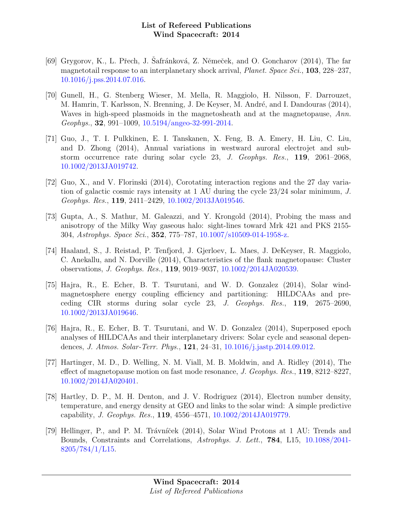- [69] Grygorov, K., L. Přech, J. Šafránková, Z. Němeček, and O. Goncharov (2014), The far magnetotail response to an interplanetary shock arrival, *Planet. Space Sci.*, **103**, 228–237, [10.1016/j.pss.2014.07.016.](http://dx.doi.org/10.1016/j.pss.2014.07.016)
- [70] Gunell, H., G. Stenberg Wieser, M. Mella, R. Maggiolo, H. Nilsson, F. Darrouzet, M. Hamrin, T. Karlsson, N. Brenning, J. De Keyser, M. André, and I. Dandouras (2014), Waves in high-speed plasmoids in the magnetosheath and at the magnetopause, Ann. Geophys., 32, 991–1009, [10.5194/angeo-32-991-2014.](http://dx.doi.org/10.5194/angeo-32-991-2014)
- [71] Guo, J., T. I. Pulkkinen, E. I. Tanskanen, X. Feng, B. A. Emery, H. Liu, C. Liu, and D. Zhong (2014), Annual variations in westward auroral electrojet and substorm occurrence rate during solar cycle 23, J. Geophys. Res., 119, 2061–2068, [10.1002/2013JA019742.](http://dx.doi.org/10.1002/2013JA019742)
- [72] Guo, X., and V. Florinski (2014), Corotating interaction regions and the 27 day variation of galactic cosmic rays intensity at 1 AU during the cycle 23/24 solar minimum, J. Geophys. Res., 119, 2411–2429, [10.1002/2013JA019546.](http://dx.doi.org/10.1002/2013JA019546)
- [73] Gupta, A., S. Mathur, M. Galeazzi, and Y. Krongold (2014), Probing the mass and anisotropy of the Milky Way gaseous halo: sight-lines toward Mrk 421 and PKS 2155- 304, Astrophys. Space Sci., 352, 775–787, [10.1007/s10509-014-1958-z.](http://dx.doi.org/10.1007/s10509-014-1958-z)
- [74] Haaland, S., J. Reistad, P. Tenfjord, J. Gjerloev, L. Maes, J. DeKeyser, R. Maggiolo, C. Anekallu, and N. Dorville (2014), Characteristics of the flank magnetopause: Cluster observations, J. Geophys. Res., 119, 9019–9037, [10.1002/2014JA020539.](http://dx.doi.org/10.1002/2014JA020539)
- [75] Hajra, R., E. Echer, B. T. Tsurutani, and W. D. Gonzalez (2014), Solar windmagnetosphere energy coupling efficiency and partitioning: HILDCAAs and preceding CIR storms during solar cycle 23, J. Geophys. Res., 119, 2675–2690, [10.1002/2013JA019646.](http://dx.doi.org/10.1002/2013JA019646)
- [76] Hajra, R., E. Echer, B. T. Tsurutani, and W. D. Gonzalez (2014), Superposed epoch analyses of HILDCAAs and their interplanetary drivers: Solar cycle and seasonal dependences, J. Atmos. Solar-Terr. Phys., 121, 24–31, [10.1016/j.jastp.2014.09.012.](http://dx.doi.org/10.1016/j.jastp.2014.09.012)
- [77] Hartinger, M. D., D. Welling, N. M. Viall, M. B. Moldwin, and A. Ridley (2014), The effect of magnetopause motion on fast mode resonance, J. Geophys. Res., 119, 8212–8227, [10.1002/2014JA020401.](http://dx.doi.org/10.1002/2014JA020401)
- [78] Hartley, D. P., M. H. Denton, and J. V. Rodriguez (2014), Electron number density, temperature, and energy density at GEO and links to the solar wind: A simple predictive capability, J. Geophys. Res., 119, 4556–4571, [10.1002/2014JA019779.](http://dx.doi.org/10.1002/2014JA019779)
- [79] Hellinger, P., and P. M. Trávníček (2014), Solar Wind Protons at 1 AU: Trends and Bounds, Constraints and Correlations, Astrophys. J. Lett., 784, L15, [10.1088/2041-](http://dx.doi.org/10.1088/2041-8205/784/1/L15) [8205/784/1/L15.](http://dx.doi.org/10.1088/2041-8205/784/1/L15)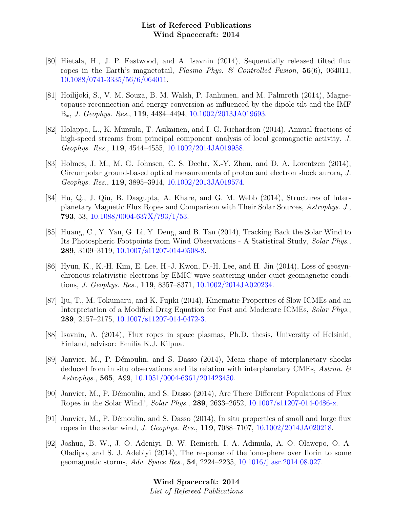- [80] Hietala, H., J. P. Eastwood, and A. Isavnin (2014), Sequentially released tilted flux ropes in the Earth's magnetotail, *Plasma Phys. & Controlled Fusion*,  $56(6)$ ,  $064011$ , [10.1088/0741-3335/56/6/064011.](http://dx.doi.org/10.1088/0741-3335/56/6/064011)
- [81] Hoilijoki, S., V. M. Souza, B. M. Walsh, P. Janhunen, and M. Palmroth (2014), Magnetopause reconnection and energy conversion as influenced by the dipole tilt and the IMF  $B_x$ , *J. Geophys. Res.*, **119**, 4484-4494,  $10.1002/2013JA019693$ .
- [82] Holappa, L., K. Mursula, T. Asikainen, and I. G. Richardson (2014), Annual fractions of high-speed streams from principal component analysis of local geomagnetic activity, J. Geophys. Res., 119, 4544–4555, [10.1002/2014JA019958.](http://dx.doi.org/10.1002/2014JA019958)
- [83] Holmes, J. M., M. G. Johnsen, C. S. Deehr, X.-Y. Zhou, and D. A. Lorentzen (2014), Circumpolar ground-based optical measurements of proton and electron shock aurora, J. Geophys. Res., 119, 3895–3914, [10.1002/2013JA019574.](http://dx.doi.org/10.1002/2013JA019574)
- [84] Hu, Q., J. Qiu, B. Dasgupta, A. Khare, and G. M. Webb (2014), Structures of Interplanetary Magnetic Flux Ropes and Comparison with Their Solar Sources, Astrophys. J., 793, 53, [10.1088/0004-637X/793/1/53.](http://dx.doi.org/10.1088/0004-637X/793/1/53)
- [85] Huang, C., Y. Yan, G. Li, Y. Deng, and B. Tan (2014), Tracking Back the Solar Wind to Its Photospheric Footpoints from Wind Observations - A Statistical Study, Solar Phys., 289, 3109–3119, [10.1007/s11207-014-0508-8.](http://dx.doi.org/10.1007/s11207-014-0508-8)
- [86] Hyun, K., K.-H. Kim, E. Lee, H.-J. Kwon, D.-H. Lee, and H. Jin (2014), Loss of geosynchronous relativistic electrons by EMIC wave scattering under quiet geomagnetic conditions, J. Geophys. Res., 119, 8357–8371, [10.1002/2014JA020234.](http://dx.doi.org/10.1002/2014JA020234)
- [87] Iju, T., M. Tokumaru, and K. Fujiki (2014), Kinematic Properties of Slow ICMEs and an Interpretation of a Modified Drag Equation for Fast and Moderate ICMEs, Solar Phys., 289, 2157–2175, [10.1007/s11207-014-0472-3.](http://dx.doi.org/10.1007/s11207-014-0472-3)
- [88] Isavnin, A. (2014), Flux ropes in space plasmas, Ph.D. thesis, University of Helsinki, Finland, advisor: Emilia K.J. Kilpua.
- [89] Janvier, M., P. Démoulin, and S. Dasso (2014), Mean shape of interplanetary shocks deduced from in situ observations and its relation with interplanetary CMEs, Astron.  $\mathscr{C}$ Astrophys., 565, A99, [10.1051/0004-6361/201423450.](http://dx.doi.org/10.1051/0004-6361/201423450)
- [90] Janvier, M., P. Démoulin, and S. Dasso (2014), Are There Different Populations of Flux Ropes in the Solar Wind?, Solar Phys., 289, 2633–2652, [10.1007/s11207-014-0486-x.](http://dx.doi.org/10.1007/s11207-014-0486-x)
- [91] Janvier, M., P. Démoulin, and S. Dasso (2014), In situ properties of small and large flux ropes in the solar wind, J. Geophys. Res., 119, 7088–7107, [10.1002/2014JA020218.](http://dx.doi.org/10.1002/2014JA020218)
- [92] Joshua, B. W., J. O. Adeniyi, B. W. Reinisch, I. A. Adimula, A. O. Olawepo, O. A. Oladipo, and S. J. Adebiyi (2014), The response of the ionosphere over Ilorin to some geomagnetic storms, Adv. Space Res., 54, 2224–2235, [10.1016/j.asr.2014.08.027.](http://dx.doi.org/10.1016/j.asr.2014.08.027)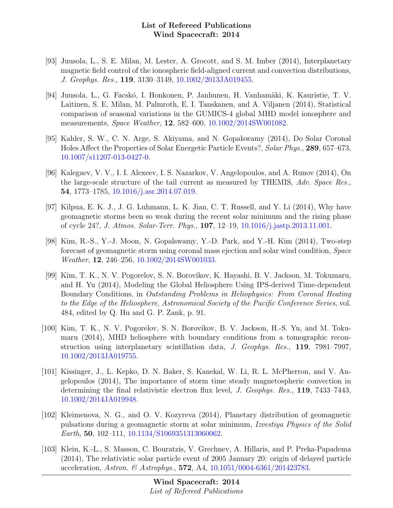- [93] Juusola, L., S. E. Milan, M. Lester, A. Grocott, and S. M. Imber (2014), Interplanetary magnetic field control of the ionospheric field-aligned current and convection distributions, J. Geophys. Res., 119, 3130–3149, [10.1002/2013JA019455.](http://dx.doi.org/10.1002/2013JA019455)
- [94] Juusola, L., G. Facskó, I. Honkonen, P. Janhunen, H. Vanhamäki, K. Kauristie, T. V. Laitinen, S. E. Milan, M. Palmroth, E. I. Tanskanen, and A. Viljanen (2014), Statistical comparison of seasonal variations in the GUMICS-4 global MHD model ionosphere and measurements, Space Weather, 12, 582–600, [10.1002/2014SW001082.](http://dx.doi.org/10.1002/2014SW001082)
- [95] Kahler, S. W., C. N. Arge, S. Akiyama, and N. Gopalswamy (2014), Do Solar Coronal Holes Affect the Properties of Solar Energetic Particle Events?, Solar Phys., 289, 657–673, [10.1007/s11207-013-0427-0.](http://dx.doi.org/10.1007/s11207-013-0427-0)
- [96] Kalegaev, V. V., I. I. Alexeev, I. S. Nazarkov, V. Angelopoulos, and A. Runov (2014), On the large-scale structure of the tail current as measured by THEMIS, Adv. Space Res., 54, 1773–1785, [10.1016/j.asr.2014.07.019.](http://dx.doi.org/10.1016/j.asr.2014.07.019)
- [97] Kilpua, E. K. J., J. G. Luhmann, L. K. Jian, C. T. Russell, and Y. Li (2014), Why have geomagnetic storms been so weak during the recent solar minimum and the rising phase of cycle 24?, J. Atmos. Solar-Terr. Phys., 107, 12–19, [10.1016/j.jastp.2013.11.001.](http://dx.doi.org/10.1016/j.jastp.2013.11.001)
- [98] Kim, R.-S., Y.-J. Moon, N. Gopalswamy, Y.-D. Park, and Y.-H. Kim (2014), Two-step forecast of geomagnetic storm using coronal mass ejection and solar wind condition, Space Weather, 12, 246–256, [10.1002/2014SW001033.](http://dx.doi.org/10.1002/2014SW001033)
- [99] Kim, T. K., N. V. Pogorelov, S. N. Borovikov, K. Hayashi, B. V. Jackson, M. Tokumaru, and H. Yu (2014), Modeling the Global Heliosphere Using IPS-derived Time-dependent Boundary Conditions, in Outstanding Problems in Heliophysics: From Coronal Heating to the Edge of the Heliosphere, Astronomical Society of the Pacific Conference Series, vol. 484, edited by Q. Hu and G. P. Zank, p. 91.
- [100] Kim, T. K., N. V. Pogorelov, S. N. Borovikov, B. V. Jackson, H.-S. Yu, and M. Tokumaru (2014), MHD heliosphere with boundary conditions from a tomographic reconstruction using interplanetary scintillation data, J. Geophys. Res., 119, 7981–7997, [10.1002/2013JA019755.](http://dx.doi.org/10.1002/2013JA019755)
- [101] Kissinger, J., L. Kepko, D. N. Baker, S. Kanekal, W. Li, R. L. McPherron, and V. Angelopoulos (2014), The importance of storm time steady magnetospheric convection in determining the final relativistic electron flux level, *J. Geophys. Res.*, **119**, 7433–7443, [10.1002/2014JA019948.](http://dx.doi.org/10.1002/2014JA019948)
- [102] Kleimenova, N. G., and O. V. Kozyreva (2014), Planetary distribution of geomagnetic pulsations during a geomagnetic storm at solar minimum, Izvestiya Physics of the Solid Earth, 50, 102–111, [10.1134/S1069351313060062.](http://dx.doi.org/10.1134/S1069351313060062)
- [103] Klein, K.-L., S. Masson, C. Bouratzis, V. Grechnev, A. Hillaris, and P. Preka-Papadema (2014), The relativistic solar particle event of 2005 January 20: origin of delayed particle acceleration, Astron. & Astrophys., 572, A4, [10.1051/0004-6361/201423783.](http://dx.doi.org/10.1051/0004-6361/201423783)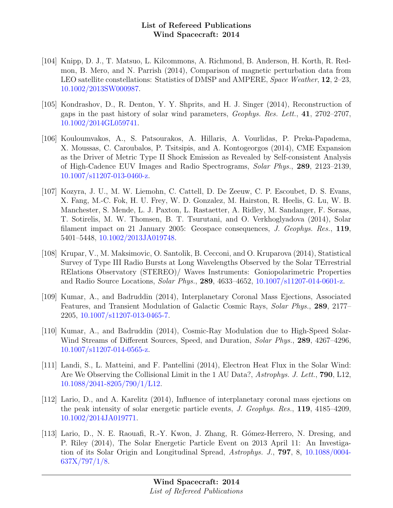- [104] Knipp, D. J., T. Matsuo, L. Kilcommons, A. Richmond, B. Anderson, H. Korth, R. Redmon, B. Mero, and N. Parrish (2014), Comparison of magnetic perturbation data from LEO satellite constellations: Statistics of DMSP and AMPERE, Space Weather, 12, 2–23, [10.1002/2013SW000987.](http://dx.doi.org/10.1002/2013SW000987)
- [105] Kondrashov, D., R. Denton, Y. Y. Shprits, and H. J. Singer (2014), Reconstruction of gaps in the past history of solar wind parameters, Geophys. Res. Lett., 41, 2702–2707, [10.1002/2014GL059741.](http://dx.doi.org/10.1002/2014GL059741)
- [106] Kouloumvakos, A., S. Patsourakos, A. Hillaris, A. Vourlidas, P. Preka-Papadema, X. Moussas, C. Caroubalos, P. Tsitsipis, and A. Kontogeorgos (2014), CME Expansion as the Driver of Metric Type II Shock Emission as Revealed by Self-consistent Analysis of High-Cadence EUV Images and Radio Spectrograms, Solar Phys., 289, 2123–2139, [10.1007/s11207-013-0460-z.](http://dx.doi.org/10.1007/s11207-013-0460-z)
- [107] Kozyra, J. U., M. W. Liemohn, C. Cattell, D. De Zeeuw, C. P. Escoubet, D. S. Evans, X. Fang, M.-C. Fok, H. U. Frey, W. D. Gonzalez, M. Hairston, R. Heelis, G. Lu, W. B. Manchester, S. Mende, L. J. Paxton, L. Rastaetter, A. Ridley, M. Sandanger, F. Soraas, T. Sotirelis, M. W. Thomsen, B. T. Tsurutani, and O. Verkhoglyadova (2014), Solar filament impact on 21 January 2005: Geospace consequences, J. Geophys. Res., 119, 5401–5448, [10.1002/2013JA019748.](http://dx.doi.org/10.1002/2013JA019748)
- [108] Krupar, V., M. Maksimovic, O. Santolik, B. Cecconi, and O. Kruparova (2014), Statistical Survey of Type III Radio Bursts at Long Wavelengths Observed by the Solar TErrestrial RElations Observatory (STEREO)/ Waves Instruments: Goniopolarimetric Properties and Radio Source Locations, Solar Phys., 289, 4633–4652, [10.1007/s11207-014-0601-z.](http://dx.doi.org/10.1007/s11207-014-0601-z)
- [109] Kumar, A., and Badruddin (2014), Interplanetary Coronal Mass Ejections, Associated Features, and Transient Modulation of Galactic Cosmic Rays, Solar Phys., 289, 2177– 2205, [10.1007/s11207-013-0465-7.](http://dx.doi.org/10.1007/s11207-013-0465-7)
- [110] Kumar, A., and Badruddin (2014), Cosmic-Ray Modulation due to High-Speed Solar-Wind Streams of Different Sources, Speed, and Duration, *Solar Phys.*, **289**, 4267–4296, [10.1007/s11207-014-0565-z.](http://dx.doi.org/10.1007/s11207-014-0565-z)
- [111] Landi, S., L. Matteini, and F. Pantellini (2014), Electron Heat Flux in the Solar Wind: Are We Observing the Collisional Limit in the 1 AU Data?, Astrophys. J. Lett., **790**, L12, [10.1088/2041-8205/790/1/L12.](http://dx.doi.org/10.1088/2041-8205/790/1/L12)
- [112] Lario, D., and A. Karelitz (2014), Influence of interplanetary coronal mass ejections on the peak intensity of solar energetic particle events, J. Geophys. Res., 119, 4185–4209, [10.1002/2014JA019771.](http://dx.doi.org/10.1002/2014JA019771)
- [113] Lario, D., N. E. Raouafi, R.-Y. Kwon, J. Zhang, R. Gómez-Herrero, N. Dresing, and P. Riley (2014), The Solar Energetic Particle Event on 2013 April 11: An Investigation of its Solar Origin and Longitudinal Spread, Astrophys. J., 797, 8, [10.1088/0004-](http://dx.doi.org/10.1088/0004-637X/797/1/8) [637X/797/1/8.](http://dx.doi.org/10.1088/0004-637X/797/1/8)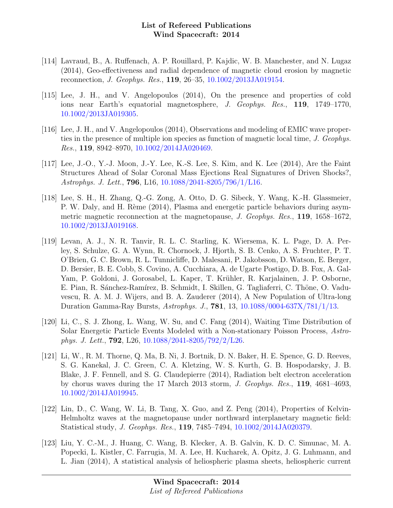- [114] Lavraud, B., A. Ruffenach, A. P. Rouillard, P. Kajdic, W. B. Manchester, and N. Lugaz (2014), Geo-effectiveness and radial dependence of magnetic cloud erosion by magnetic reconnection, J. Geophys. Res., 119, 26–35, [10.1002/2013JA019154.](http://dx.doi.org/10.1002/2013JA019154)
- [115] Lee, J. H., and V. Angelopoulos (2014), On the presence and properties of cold ions near Earth's equatorial magnetosphere, J. Geophys. Res., 119, 1749–1770, [10.1002/2013JA019305.](http://dx.doi.org/10.1002/2013JA019305)
- [116] Lee, J. H., and V. Angelopoulos (2014), Observations and modeling of EMIC wave properties in the presence of multiple ion species as function of magnetic local time, J. Geophys. Res., 119, 8942–8970, [10.1002/2014JA020469.](http://dx.doi.org/10.1002/2014JA020469)
- [117] Lee, J.-O., Y.-J. Moon, J.-Y. Lee, K.-S. Lee, S. Kim, and K. Lee (2014), Are the Faint Structures Ahead of Solar Coronal Mass Ejections Real Signatures of Driven Shocks?, Astrophys. J. Lett., 796, L16, [10.1088/2041-8205/796/1/L16.](http://dx.doi.org/10.1088/2041-8205/796/1/L16)
- [118] Lee, S. H., H. Zhang, Q.-G. Zong, A. Otto, D. G. Sibeck, Y. Wang, K.-H. Glassmeier, P. W. Daly, and H. Rème (2014), Plasma and energetic particle behaviors during asymmetric magnetic reconnection at the magnetopause, J. Geophys. Res., 119, 1658–1672, [10.1002/2013JA019168.](http://dx.doi.org/10.1002/2013JA019168)
- [119] Levan, A. J., N. R. Tanvir, R. L. C. Starling, K. Wiersema, K. L. Page, D. A. Perley, S. Schulze, G. A. Wynn, R. Chornock, J. Hjorth, S. B. Cenko, A. S. Fruchter, P. T. O'Brien, G. C. Brown, R. L. Tunnicliffe, D. Malesani, P. Jakobsson, D. Watson, E. Berger, D. Bersier, B. E. Cobb, S. Covino, A. Cucchiara, A. de Ugarte Postigo, D. B. Fox, A. Gal-Yam, P. Goldoni, J. Gorosabel, L. Kaper, T. Krühler, R. Karjalainen, J. P. Osborne, E. Pian, R. Sánchez-Ramírez, B. Schmidt, I. Skillen, G. Tagliaferri, C. Thöne, O. Vaduvescu, R. A. M. J. Wijers, and B. A. Zauderer (2014), A New Population of Ultra-long Duration Gamma-Ray Bursts, Astrophys. J., 781, 13, [10.1088/0004-637X/781/1/13.](http://dx.doi.org/10.1088/0004-637X/781/1/13)
- [120] Li, C., S. J. Zhong, L. Wang, W. Su, and C. Fang (2014), Waiting Time Distribution of Solar Energetic Particle Events Modeled with a Non-stationary Poisson Process, Astrophys. J. Lett., 792, L26, [10.1088/2041-8205/792/2/L26.](http://dx.doi.org/10.1088/2041-8205/792/2/L26)
- [121] Li, W., R. M. Thorne, Q. Ma, B. Ni, J. Bortnik, D. N. Baker, H. E. Spence, G. D. Reeves, S. G. Kanekal, J. C. Green, C. A. Kletzing, W. S. Kurth, G. B. Hospodarsky, J. B. Blake, J. F. Fennell, and S. G. Claudepierre (2014), Radiation belt electron acceleration by chorus waves during the 17 March 2013 storm, J. Geophys. Res., 119, 4681–4693, [10.1002/2014JA019945.](http://dx.doi.org/10.1002/2014JA019945)
- [122] Lin, D., C. Wang, W. Li, B. Tang, X. Guo, and Z. Peng (2014), Properties of Kelvin-Helmholtz waves at the magnetopause under northward interplanetary magnetic field: Statistical study, J. Geophys. Res., 119, 7485–7494, [10.1002/2014JA020379.](http://dx.doi.org/10.1002/2014JA020379)
- [123] Liu, Y. C.-M., J. Huang, C. Wang, B. Klecker, A. B. Galvin, K. D. C. Simunac, M. A. Popecki, L. Kistler, C. Farrugia, M. A. Lee, H. Kucharek, A. Opitz, J. G. Luhmann, and L. Jian (2014), A statistical analysis of heliospheric plasma sheets, heliospheric current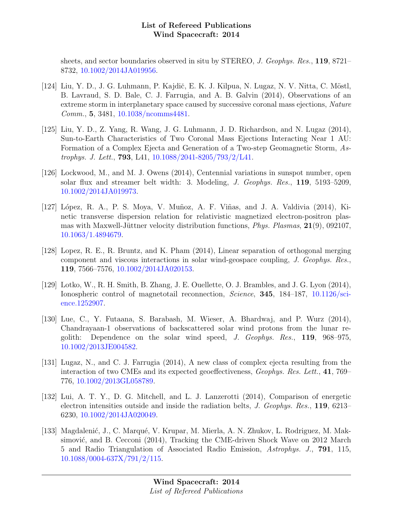sheets, and sector boundaries observed in situ by STEREO, J. Geophys. Res., 119, 8721– 8732, [10.1002/2014JA019956.](http://dx.doi.org/10.1002/2014JA019956)

- [124] Liu, Y. D., J. G. Luhmann, P. Kajdič, E. K. J. Kilpua, N. Lugaz, N. V. Nitta, C. Möstl, B. Lavraud, S. D. Bale, C. J. Farrugia, and A. B. Galvin (2014), Observations of an extreme storm in interplanetary space caused by successive coronal mass ejections, Nature Comm., 5, 3481, [10.1038/ncomms4481.](http://dx.doi.org/10.1038/ncomms4481)
- [125] Liu, Y. D., Z. Yang, R. Wang, J. G. Luhmann, J. D. Richardson, and N. Lugaz (2014), Sun-to-Earth Characteristics of Two Coronal Mass Ejections Interacting Near 1 AU: Formation of a Complex Ejecta and Generation of a Two-step Geomagnetic Storm, Astrophys. J. Lett., 793, L41, [10.1088/2041-8205/793/2/L41.](http://dx.doi.org/10.1088/2041-8205/793/2/L41)
- [126] Lockwood, M., and M. J. Owens (2014), Centennial variations in sunspot number, open solar flux and streamer belt width: 3. Modeling, J. Geophys. Res., 119, 5193–5209, [10.1002/2014JA019973.](http://dx.doi.org/10.1002/2014JA019973)
- [127] López, R. A., P. S. Moya, V. Muñoz, A. F. Viñas, and J. A. Valdivia (2014), Kinetic transverse dispersion relation for relativistic magnetized electron-positron plasmas with Maxwell-Jüttner velocity distribution functions, *Phys. Plasmas*,  $21(9)$ , 092107, [10.1063/1.4894679.](http://dx.doi.org/10.1063/1.4894679)
- [128] Lopez, R. E., R. Bruntz, and K. Pham (2014), Linear separation of orthogonal merging component and viscous interactions in solar wind-geospace coupling, J. Geophys. Res., 119, 7566–7576, [10.1002/2014JA020153.](http://dx.doi.org/10.1002/2014JA020153)
- [129] Lotko, W., R. H. Smith, B. Zhang, J. E. Ouellette, O. J. Brambles, and J. G. Lyon (2014), Ionospheric control of magnetotail reconnection, *Science*, **345**, 184–187, [10.1126/sci](http://dx.doi.org/10.1126/science.1252907)[ence.1252907.](http://dx.doi.org/10.1126/science.1252907)
- [130] Lue, C., Y. Futaana, S. Barabash, M. Wieser, A. Bhardwaj, and P. Wurz (2014), Chandrayaan-1 observations of backscattered solar wind protons from the lunar regolith: Dependence on the solar wind speed, J. Geophys. Res., 119, 968–975, [10.1002/2013JE004582.](http://dx.doi.org/10.1002/2013JE004582)
- [131] Lugaz, N., and C. J. Farrugia (2014), A new class of complex ejecta resulting from the interaction of two CMEs and its expected geoeffectiveness, Geophys. Res. Lett., 41, 769– 776, [10.1002/2013GL058789.](http://dx.doi.org/10.1002/2013GL058789)
- [132] Lui, A. T. Y., D. G. Mitchell, and L. J. Lanzerotti (2014), Comparison of energetic electron intensities outside and inside the radiation belts, J. Geophys. Res., 119, 6213– 6230, [10.1002/2014JA020049.](http://dx.doi.org/10.1002/2014JA020049)
- [133] Magdalenić, J., C. Marqué, V. Krupar, M. Mierla, A. N. Zhukov, L. Rodriguez, M. Maksimović, and B. Cecconi (2014), Tracking the CME-driven Shock Wave on 2012 March 5 and Radio Triangulation of Associated Radio Emission, Astrophys. J., 791, 115, [10.1088/0004-637X/791/2/115.](http://dx.doi.org/10.1088/0004-637X/791/2/115)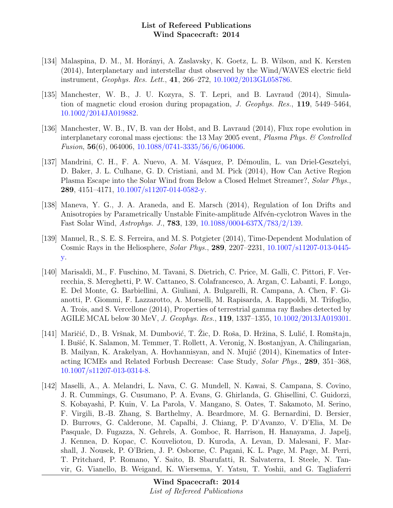- [134] Malaspina, D. M., M. Horányi, A. Zaslavsky, K. Goetz, L. B. Wilson, and K. Kersten (2014), Interplanetary and interstellar dust observed by the Wind/WAVES electric field instrument, Geophys. Res. Lett., 41, 266–272, [10.1002/2013GL058786.](http://dx.doi.org/10.1002/2013GL058786)
- [135] Manchester, W. B., J. U. Kozyra, S. T. Lepri, and B. Lavraud (2014), Simulation of magnetic cloud erosion during propagation, J. Geophys. Res., 119, 5449–5464, [10.1002/2014JA019882.](http://dx.doi.org/10.1002/2014JA019882)
- [136] Manchester, W. B., IV, B. van der Holst, and B. Lavraud (2014), Flux rope evolution in interplanetary coronal mass ejections: the 13 May 2005 event, Plasma Phys. & Controlled Fusion, 56(6), 064006, [10.1088/0741-3335/56/6/064006.](http://dx.doi.org/10.1088/0741-3335/56/6/064006)
- [137] Mandrini, C. H., F. A. Nuevo, A. M. Vásquez, P. Démoulin, L. van Driel-Gesztelyi, D. Baker, J. L. Culhane, G. D. Cristiani, and M. Pick (2014), How Can Active Region Plasma Escape into the Solar Wind from Below a Closed Helmet Streamer?, Solar Phys., 289, 4151–4171, [10.1007/s11207-014-0582-y.](http://dx.doi.org/10.1007/s11207-014-0582-y)
- [138] Maneva, Y. G., J. A. Araneda, and E. Marsch (2014), Regulation of Ion Drifts and Anisotropies by Parametrically Unstable Finite-amplitude Alfvén-cyclotron Waves in the Fast Solar Wind, Astrophys. J., 783, 139, [10.1088/0004-637X/783/2/139.](http://dx.doi.org/10.1088/0004-637X/783/2/139)
- [139] Manuel, R., S. E. S. Ferreira, and M. S. Potgieter (2014), Time-Dependent Modulation of Cosmic Rays in the Heliosphere, Solar Phys., 289, 2207–2231, [10.1007/s11207-013-0445](http://dx.doi.org/10.1007/s11207-013-0445-y) [y.](http://dx.doi.org/10.1007/s11207-013-0445-y)
- [140] Marisaldi, M., F. Fuschino, M. Tavani, S. Dietrich, C. Price, M. Galli, C. Pittori, F. Verrecchia, S. Mereghetti, P. W. Cattaneo, S. Colafrancesco, A. Argan, C. Labanti, F. Longo, E. Del Monte, G. Barbiellini, A. Giuliani, A. Bulgarelli, R. Campana, A. Chen, F. Gianotti, P. Giommi, F. Lazzarotto, A. Morselli, M. Rapisarda, A. Rappoldi, M. Trifoglio, A. Trois, and S. Vercellone (2014), Properties of terrestrial gamma ray flashes detected by AGILE MCAL below 30 MeV, J. Geophys. Res., 119, 1337–1355, [10.1002/2013JA019301.](http://dx.doi.org/10.1002/2013JA019301)
- [141] Maričić, D., B. Vršnak, M. Dumbović, T. Žic, D. Roša, D. Hržina, S. Lulić, I. Romštajn, I. Bušić, K. Salamon, M. Temmer, T. Rollett, A. Veronig, N. Bostanjyan, A. Chilingarian, B. Mailyan, K. Arakelyan, A. Hovhannisyan, and N. Mujić (2014), Kinematics of Interacting ICMEs and Related Forbush Decrease: Case Study, Solar Phys., 289, 351–368, [10.1007/s11207-013-0314-8.](http://dx.doi.org/10.1007/s11207-013-0314-8)
- [142] Maselli, A., A. Melandri, L. Nava, C. G. Mundell, N. Kawai, S. Campana, S. Covino, J. R. Cummings, G. Cusumano, P. A. Evans, G. Ghirlanda, G. Ghisellini, C. Guidorzi, S. Kobayashi, P. Kuin, V. La Parola, V. Mangano, S. Oates, T. Sakamoto, M. Serino, F. Virgili, B.-B. Zhang, S. Barthelmy, A. Beardmore, M. G. Bernardini, D. Bersier, D. Burrows, G. Calderone, M. Capalbi, J. Chiang, P. D'Avanzo, V. D'Elia, M. De Pasquale, D. Fugazza, N. Gehrels, A. Gomboc, R. Harrison, H. Hanayama, J. Japelj, J. Kennea, D. Kopac, C. Kouveliotou, D. Kuroda, A. Levan, D. Malesani, F. Marshall, J. Nousek, P. O'Brien, J. P. Osborne, C. Pagani, K. L. Page, M. Page, M. Perri, T. Pritchard, P. Romano, Y. Saito, B. Sbarufatti, R. Salvaterra, I. Steele, N. Tanvir, G. Vianello, B. Weigand, K. Wiersema, Y. Yatsu, T. Yoshii, and G. Tagliaferri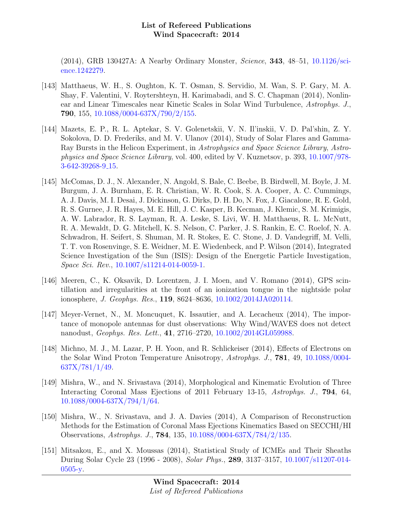(2014), GRB 130427A: A Nearby Ordinary Monster, Science, 343, 48–51, [10.1126/sci](http://dx.doi.org/10.1126/science.1242279)[ence.1242279.](http://dx.doi.org/10.1126/science.1242279)

- [143] Matthaeus, W. H., S. Oughton, K. T. Osman, S. Servidio, M. Wan, S. P. Gary, M. A. Shay, F. Valentini, V. Roytershteyn, H. Karimabadi, and S. C. Chapman (2014), Nonlinear and Linear Timescales near Kinetic Scales in Solar Wind Turbulence, Astrophys. J., 790, 155, [10.1088/0004-637X/790/2/155.](http://dx.doi.org/10.1088/0004-637X/790/2/155)
- [144] Mazets, E. P., R. L. Aptekar, S. V. Golenetskii, V. N. Il'inskii, V. D. Pal'shin, Z. Y. Sokolova, D. D. Frederiks, and M. V. Ulanov (2014), Study of Solar Flares and Gamma-Ray Bursts in the Helicon Experiment, in Astrophysics and Space Science Library, Astrophysics and Space Science Library, vol. 400, edited by V. Kuznetsov, p. 393, [10.1007/978-](http://dx.doi.org/10.1007/978-3-642-39268-9_15) [3-642-39268-9](http://dx.doi.org/10.1007/978-3-642-39268-9_15) 15.
- [145] McComas, D. J., N. Alexander, N. Angold, S. Bale, C. Beebe, B. Birdwell, M. Boyle, J. M. Burgum, J. A. Burnham, E. R. Christian, W. R. Cook, S. A. Cooper, A. C. Cummings, A. J. Davis, M. I. Desai, J. Dickinson, G. Dirks, D. H. Do, N. Fox, J. Giacalone, R. E. Gold, R. S. Gurnee, J. R. Hayes, M. E. Hill, J. C. Kasper, B. Kecman, J. Klemic, S. M. Krimigis, A. W. Labrador, R. S. Layman, R. A. Leske, S. Livi, W. H. Matthaeus, R. L. McNutt, R. A. Mewaldt, D. G. Mitchell, K. S. Nelson, C. Parker, J. S. Rankin, E. C. Roelof, N. A. Schwadron, H. Seifert, S. Shuman, M. R. Stokes, E. C. Stone, J. D. Vandegriff, M. Velli, T. T. von Rosenvinge, S. E. Weidner, M. E. Wiedenbeck, and P. Wilson (2014), Integrated Science Investigation of the Sun (ISIS): Design of the Energetic Particle Investigation, Space Sci. Rev., [10.1007/s11214-014-0059-1.](http://dx.doi.org/10.1007/s11214-014-0059-1)
- [146] Meeren, C., K. Oksavik, D. Lorentzen, J. I. Moen, and V. Romano (2014), GPS scintillation and irregularities at the front of an ionization tongue in the nightside polar ionosphere, J. Geophys. Res., 119, 8624–8636, [10.1002/2014JA020114.](http://dx.doi.org/10.1002/2014JA020114)
- [147] Meyer-Vernet, N., M. Moncuquet, K. Issautier, and A. Lecacheux (2014), The importance of monopole antennas for dust observations: Why Wind/WAVES does not detect nanodust, Geophys. Res. Lett., 41, 2716–2720, [10.1002/2014GL059988.](http://dx.doi.org/10.1002/2014GL059988)
- [148] Michno, M. J., M. Lazar, P. H. Yoon, and R. Schlickeiser (2014), Effects of Electrons on the Solar Wind Proton Temperature Anisotropy, Astrophys. J., 781, 49, [10.1088/0004-](http://dx.doi.org/10.1088/0004-637X/781/1/49) [637X/781/1/49.](http://dx.doi.org/10.1088/0004-637X/781/1/49)
- [149] Mishra, W., and N. Srivastava (2014), Morphological and Kinematic Evolution of Three Interacting Coronal Mass Ejections of 2011 February 13-15, Astrophys. J., 794, 64, [10.1088/0004-637X/794/1/64.](http://dx.doi.org/10.1088/0004-637X/794/1/64)
- [150] Mishra, W., N. Srivastava, and J. A. Davies (2014), A Comparison of Reconstruction Methods for the Estimation of Coronal Mass Ejections Kinematics Based on SECCHI/HI Observations, Astrophys. J., 784, 135, [10.1088/0004-637X/784/2/135.](http://dx.doi.org/10.1088/0004-637X/784/2/135)
- [151] Mitsakou, E., and X. Moussas (2014), Statistical Study of ICMEs and Their Sheaths During Solar Cycle 23 (1996 - 2008), Solar Phys., 289, 3137–3157, [10.1007/s11207-014-](http://dx.doi.org/10.1007/s11207-014-0505-y) [0505-y.](http://dx.doi.org/10.1007/s11207-014-0505-y)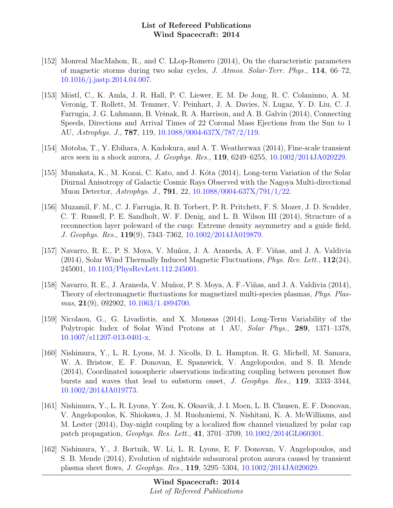- [152] Monreal MacMahon, R., and C. LLop-Romero (2014), On the characteristic parameters of magnetic storms during two solar cycles, J. Atmos. Solar-Terr. Phys., 114, 66–72, [10.1016/j.jastp.2014.04.007.](http://dx.doi.org/10.1016/j.jastp.2014.04.007)
- [153] Möstl, C., K. Amla, J. R. Hall, P. C. Liewer, E. M. De Jong, R. C. Colaninno, A. M. Veronig, T. Rollett, M. Temmer, V. Peinhart, J. A. Davies, N. Lugaz, Y. D. Liu, C. J. Farrugia, J. G. Luhmann, B. Vršnak, R. A. Harrison, and A. B. Galvin (2014), Connecting Speeds, Directions and Arrival Times of 22 Coronal Mass Ejections from the Sun to 1 AU, Astrophys. J., 787, 119, [10.1088/0004-637X/787/2/119.](http://dx.doi.org/10.1088/0004-637X/787/2/119)
- [154] Motoba, T., Y. Ebihara, A. Kadokura, and A. T. Weatherwax (2014), Fine-scale transient arcs seen in a shock aurora, J. Geophys. Res., 119, 6249–6255, [10.1002/2014JA020229.](http://dx.doi.org/10.1002/2014JA020229)
- [155] Munakata, K., M. Kozai, C. Kato, and J. Kóta (2014), Long-term Variation of the Solar Diurnal Anisotropy of Galactic Cosmic Rays Observed with the Nagoya Multi-directional Muon Detector, Astrophys. J., 791, 22, [10.1088/0004-637X/791/1/22.](http://dx.doi.org/10.1088/0004-637X/791/1/22)
- [156] Muzamil, F. M., C. J. Farrugia, R. B. Torbert, P. R. Pritchett, F. S. Mozer, J. D. Scudder, C. T. Russell, P. E. Sandholt, W. F. Denig, and L. B. Wilson III (2014), Structure of a reconnection layer poleward of the cusp: Extreme density asymmetry and a guide field, J. Geophys. Res., 119(9), 7343–7362, [10.1002/2014JA019879.](http://dx.doi.org/10.1002/2014JA019879)
- [157] Navarro, R. E., P. S. Moya, V. Muñoz, J. A. Araneda, A. F. Viñas, and J. A. Valdivia  $(2014)$ , Solar Wind Thermally Induced Magnetic Fluctuations, *Phys. Rev. Lett.*,  $112(24)$ , 245001, [10.1103/PhysRevLett.112.245001.](http://dx.doi.org/10.1103/PhysRevLett.112.245001)
- [158] Navarro, R. E., J. Araneda, V. Muñoz, P. S. Moya, A. F.-Viñas, and J. A. Valdivia (2014), Theory of electromagnetic fluctuations for magnetized multi-species plasmas, Phys. Plas-mas, 21(9), 092902, [10.1063/1.4894700.](http://dx.doi.org/10.1063/1.4894700)
- [159] Nicolaou, G., G. Livadiotis, and X. Moussas (2014), Long-Term Variability of the Polytropic Index of Solar Wind Protons at 1 AU, Solar Phys., 289, 1371–1378, [10.1007/s11207-013-0401-x.](http://dx.doi.org/10.1007/s11207-013-0401-x)
- [160] Nishimura, Y., L. R. Lyons, M. J. Nicolls, D. L. Hampton, R. G. Michell, M. Samara, W. A. Bristow, E. F. Donovan, E. Spanswick, V. Angelopoulos, and S. B. Mende (2014), Coordinated ionospheric observations indicating coupling between preonset flow bursts and waves that lead to substorm onset, J. Geophys. Res., 119, 3333–3344, [10.1002/2014JA019773.](http://dx.doi.org/10.1002/2014JA019773)
- [161] Nishimura, Y., L. R. Lyons, Y. Zou, K. Oksavik, J. I. Moen, L. B. Clausen, E. F. Donovan, V. Angelopoulos, K. Shiokawa, J. M. Ruohoniemi, N. Nishitani, K. A. McWilliams, and M. Lester (2014), Day-night coupling by a localized flow channel visualized by polar cap patch propagation, Geophys. Res. Lett., 41, 3701–3709, [10.1002/2014GL060301.](http://dx.doi.org/10.1002/2014GL060301)
- [162] Nishimura, Y., J. Bortnik, W. Li, L. R. Lyons, E. F. Donovan, V. Angelopoulos, and S. B. Mende (2014), Evolution of nightside subauroral proton aurora caused by transient plasma sheet flows, J. Geophys. Res., 119, 5295–5304, [10.1002/2014JA020029.](http://dx.doi.org/10.1002/2014JA020029)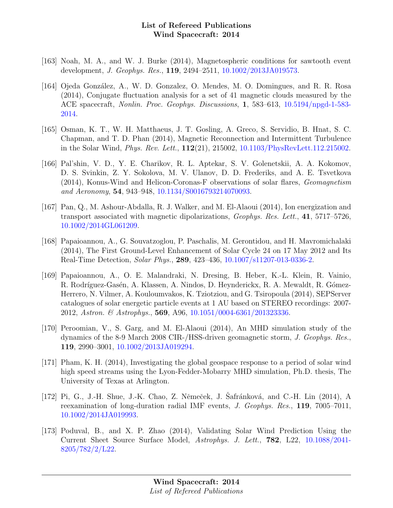- [163] Noah, M. A., and W. J. Burke (2014), Magnetospheric conditions for sawtooth event development, J. Geophys. Res., 119, 2494–2511, [10.1002/2013JA019573.](http://dx.doi.org/10.1002/2013JA019573)
- [164] Ojeda González, A., W. D. Gonzalez, O. Mendes, M. O. Domingues, and R. R. Rosa (2014), Conjugate fluctuation analysis for a set of 41 magnetic clouds measured by the ACE spacecraft, Nonlin. Proc. Geophys. Discussions, 1, 583–613, [10.5194/npgd-1-583-](http://dx.doi.org/10.5194/npgd-1-583-2014) [2014.](http://dx.doi.org/10.5194/npgd-1-583-2014)
- [165] Osman, K. T., W. H. Matthaeus, J. T. Gosling, A. Greco, S. Servidio, B. Hnat, S. C. Chapman, and T. D. Phan (2014), Magnetic Reconnection and Intermittent Turbulence in the Solar Wind, Phys. Rev. Lett., 112(21), 215002, [10.1103/PhysRevLett.112.215002.](http://dx.doi.org/10.1103/PhysRevLett.112.215002)
- [166] Pal'shin, V. D., Y. E. Charikov, R. L. Aptekar, S. V. Golenetskii, A. A. Kokomov, D. S. Svinkin, Z. Y. Sokolova, M. V. Ulanov, D. D. Frederiks, and A. E. Tsvetkova (2014), Konus-Wind and Helicon-Coronas-F observations of solar flares, Geomagnetism and Aeronomy, 54, 943–948, [10.1134/S0016793214070093.](http://dx.doi.org/10.1134/S0016793214070093)
- [167] Pan, Q., M. Ashour-Abdalla, R. J. Walker, and M. El-Alaoui (2014), Ion energization and transport associated with magnetic dipolarizations, Geophys. Res. Lett., 41, 5717–5726, [10.1002/2014GL061209.](http://dx.doi.org/10.1002/2014GL061209)
- [168] Papaioannou, A., G. Souvatzoglou, P. Paschalis, M. Gerontidou, and H. Mavromichalaki (2014), The First Ground-Level Enhancement of Solar Cycle 24 on 17 May 2012 and Its Real-Time Detection, Solar Phys., 289, 423–436, [10.1007/s11207-013-0336-2.](http://dx.doi.org/10.1007/s11207-013-0336-2)
- [169] Papaioannou, A., O. E. Malandraki, N. Dresing, B. Heber, K.-L. Klein, R. Vainio, R. Rodríguez-Gasén, A. Klassen, A. Nindos, D. Heynderickx, R. A. Mewaldt, R. Gómez-Herrero, N. Vilmer, A. Kouloumvakos, K. Tziotziou, and G. Tsiropoula (2014), SEPServer catalogues of solar energetic particle events at 1 AU based on STEREO recordings: 2007- 2012, Astron. & Astrophys., 569, A96, [10.1051/0004-6361/201323336.](http://dx.doi.org/10.1051/0004-6361/201323336)
- [170] Peroomian, V., S. Garg, and M. El-Alaoui (2014), An MHD simulation study of the dynamics of the 8-9 March 2008 CIR-/HSS-driven geomagnetic storm, J. Geophys. Res., 119, 2990–3001, [10.1002/2013JA019294.](http://dx.doi.org/10.1002/2013JA019294)
- [171] Pham, K. H. (2014), Investigating the global geospace response to a period of solar wind high speed streams using the Lyon-Fedder-Mobarry MHD simulation, Ph.D. thesis, The University of Texas at Arlington.
- [172] Pi, G., J.-H. Shue, J.-K. Chao, Z. Němeček, J. Safránková, and C.-H. Lin (2014), A reexamination of long-duration radial IMF events, J. Geophys. Res., 119, 7005–7011, [10.1002/2014JA019993.](http://dx.doi.org/10.1002/2014JA019993)
- [173] Poduval, B., and X. P. Zhao (2014), Validating Solar Wind Prediction Using the Current Sheet Source Surface Model, Astrophys. J. Lett., 782, L22, [10.1088/2041-](http://dx.doi.org/10.1088/2041-8205/782/2/L22) [8205/782/2/L22.](http://dx.doi.org/10.1088/2041-8205/782/2/L22)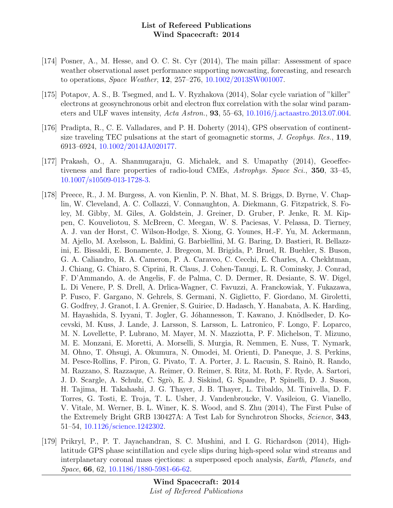- [174] Posner, A., M. Hesse, and O. C. St. Cyr (2014), The main pillar: Assessment of space weather observational asset performance supporting nowcasting, forecasting, and research to operations, Space Weather, 12, 257–276, [10.1002/2013SW001007.](http://dx.doi.org/10.1002/2013SW001007)
- [175] Potapov, A. S., B. Tsegmed, and L. V. Ryzhakova (2014), Solar cycle variation of "killer" electrons at geosynchronous orbit and electron flux correlation with the solar wind parameters and ULF waves intensity, Acta Astron., 93, 55–63, [10.1016/j.actaastro.2013.07.004.](http://dx.doi.org/10.1016/j.actaastro.2013.07.004)
- [176] Pradipta, R., C. E. Valladares, and P. H. Doherty (2014), GPS observation of continentsize traveling TEC pulsations at the start of geomagnetic storms, J. Geophys. Res., 119, 6913–6924, [10.1002/2014JA020177.](http://dx.doi.org/10.1002/2014JA020177)
- [177] Prakash, O., A. Shanmugaraju, G. Michalek, and S. Umapathy (2014), Geoeffectiveness and flare properties of radio-loud CMEs, Astrophys. Space Sci., 350, 33–45, [10.1007/s10509-013-1728-3.](http://dx.doi.org/10.1007/s10509-013-1728-3)
- [178] Preece, R., J. M. Burgess, A. von Kienlin, P. N. Bhat, M. S. Briggs, D. Byrne, V. Chaplin, W. Cleveland, A. C. Collazzi, V. Connaughton, A. Diekmann, G. Fitzpatrick, S. Foley, M. Gibby, M. Giles, A. Goldstein, J. Greiner, D. Gruber, P. Jenke, R. M. Kippen, C. Kouveliotou, S. McBreen, C. Meegan, W. S. Paciesas, V. Pelassa, D. Tierney, A. J. van der Horst, C. Wilson-Hodge, S. Xiong, G. Younes, H.-F. Yu, M. Ackermann, M. Ajello, M. Axelsson, L. Baldini, G. Barbiellini, M. G. Baring, D. Bastieri, R. Bellazzini, E. Bissaldi, E. Bonamente, J. Bregeon, M. Brigida, P. Bruel, R. Buehler, S. Buson, G. A. Caliandro, R. A. Cameron, P. A. Caraveo, C. Cecchi, E. Charles, A. Chekhtman, J. Chiang, G. Chiaro, S. Ciprini, R. Claus, J. Cohen-Tanugi, L. R. Cominsky, J. Conrad, F. D'Ammando, A. de Angelis, F. de Palma, C. D. Dermer, R. Desiante, S. W. Digel, L. Di Venere, P. S. Drell, A. Drlica-Wagner, C. Favuzzi, A. Franckowiak, Y. Fukazawa, P. Fusco, F. Gargano, N. Gehrels, S. Germani, N. Giglietto, F. Giordano, M. Giroletti, G. Godfrey, J. Granot, I. A. Grenier, S. Guiriec, D. Hadasch, Y. Hanabata, A. K. Harding, M. Hayashida, S. Iyyani, T. Jogler, G. Jóhannesson, T. Kawano, J. Knödlseder, D. Kocevski, M. Kuss, J. Lande, J. Larsson, S. Larsson, L. Latronico, F. Longo, F. Loparco, M. N. Lovellette, P. Lubrano, M. Mayer, M. N. Mazziotta, P. F. Michelson, T. Mizuno, M. E. Monzani, E. Moretti, A. Morselli, S. Murgia, R. Nemmen, E. Nuss, T. Nymark, M. Ohno, T. Ohsugi, A. Okumura, N. Omodei, M. Orienti, D. Paneque, J. S. Perkins, M. Pesce-Rollins, F. Piron, G. Pivato, T. A. Porter, J. L. Racusin, S. Rainò, R. Rando, M. Razzano, S. Razzaque, A. Reimer, O. Reimer, S. Ritz, M. Roth, F. Ryde, A. Sartori, J. D. Scargle, A. Schulz, C. Sgrò, E. J. Siskind, G. Spandre, P. Spinelli, D. J. Suson, H. Tajima, H. Takahashi, J. G. Thayer, J. B. Thayer, L. Tibaldo, M. Tinivella, D. F. Torres, G. Tosti, E. Troja, T. L. Usher, J. Vandenbroucke, V. Vasileiou, G. Vianello, V. Vitale, M. Werner, B. L. Winer, K. S. Wood, and S. Zhu (2014), The First Pulse of the Extremely Bright GRB 130427A: A Test Lab for Synchrotron Shocks, Science, 343, 51–54, [10.1126/science.1242302.](http://dx.doi.org/10.1126/science.1242302)
- [179] Prikryl, P., P. T. Jayachandran, S. C. Mushini, and I. G. Richardson (2014), Highlatitude GPS phase scintillation and cycle slips during high-speed solar wind streams and interplanetary coronal mass ejections: a superposed epoch analysis, Earth, Planets, and Space, 66, 62, [10.1186/1880-5981-66-62.](http://dx.doi.org/10.1186/1880-5981-66-62)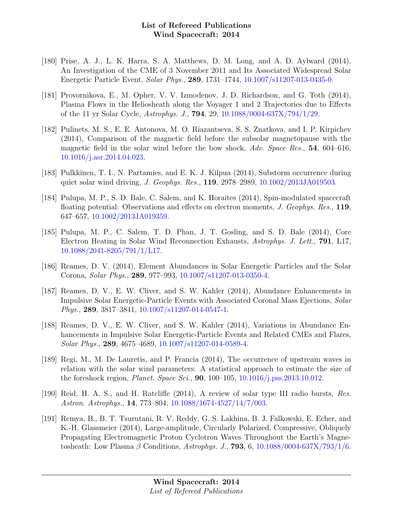- [180] Prise, A. J., L. K. Harra, S. A. Matthews, D. M. Long, and A. D. Aylward (2014), An Investigation of the CME of 3 November 2011 and Its Associated Widespread Solar Energetic Particle Event, Solar Phys., 289, 1731–1744, [10.1007/s11207-013-0435-0.](http://dx.doi.org/10.1007/s11207-013-0435-0)
- [181] Provornikova, E., M. Opher, V. V. Izmodenov, J. D. Richardson, and G. Toth (2014), Plasma Flows in the Heliosheath along the Voyager 1 and 2 Trajectories due to Effects of the 11 yr Solar Cycle, Astrophys. J., 794, 29, [10.1088/0004-637X/794/1/29.](http://dx.doi.org/10.1088/0004-637X/794/1/29)
- [182] Pulinets, M. S., E. E. Antonova, M. O. Riazantseva, S. S. Znatkova, and I. P. Kirpichev (2014), Comparison of the magnetic field before the subsolar magnetopause with the magnetic field in the solar wind before the bow shock, Adv. Space Res., 54, 604–616, [10.1016/j.asr.2014.04.023.](http://dx.doi.org/10.1016/j.asr.2014.04.023)
- [183] Pulkkinen, T. I., N. Partamies, and E. K. J. Kilpua (2014), Substorm occurrence during quiet solar wind driving, *J. Geophys. Res.*, **119**, 2978–2989, [10.1002/2013JA019503.](http://dx.doi.org/10.1002/2013JA019503)
- [184] Pulupa, M. P., S. D. Bale, C. Salem, and K. Horaites (2014), Spin-modulated spacecraft floating potential: Observations and effects on electron moments, J. Geophys. Res., 119, 647–657, [10.1002/2013JA019359.](http://dx.doi.org/10.1002/2013JA019359)
- [185] Pulupa, M. P., C. Salem, T. D. Phan, J. T. Gosling, and S. D. Bale (2014), Core Electron Heating in Solar Wind Reconnection Exhausts, Astrophys. J. Lett., 791, L17, [10.1088/2041-8205/791/1/L17.](http://dx.doi.org/10.1088/2041-8205/791/1/L17)
- [186] Reames, D. V. (2014), Element Abundances in Solar Energetic Particles and the Solar Corona, Solar Phys., 289, 977–993, [10.1007/s11207-013-0350-4.](http://dx.doi.org/10.1007/s11207-013-0350-4)
- [187] Reames, D. V., E. W. Cliver, and S. W. Kahler (2014), Abundance Enhancements in Impulsive Solar Energetic-Particle Events with Associated Coronal Mass Ejections, Solar Phys., 289, 3817–3841, [10.1007/s11207-014-0547-1.](http://dx.doi.org/10.1007/s11207-014-0547-1)
- [188] Reames, D. V., E. W. Cliver, and S. W. Kahler (2014), Variations in Abundance Enhancements in Impulsive Solar Energetic-Particle Events and Related CMEs and Flares, Solar Phys., 289, 4675–4689, [10.1007/s11207-014-0589-4.](http://dx.doi.org/10.1007/s11207-014-0589-4)
- [189] Regi, M., M. De Lauretis, and P. Francia (2014), The occurrence of upstream waves in relation with the solar wind parameters: A statistical approach to estimate the size of the foreshock region, *Planet. Space Sci.*, **90**, 100–105, [10.1016/j.pss.2013.10.012.](http://dx.doi.org/10.1016/j.pss.2013.10.012)
- [190] Reid, H. A. S., and H. Ratcliffe (2014), A review of solar type III radio bursts, Res. Astron. Astrophys., 14, 773–804, [10.1088/1674-4527/14/7/003.](http://dx.doi.org/10.1088/1674-4527/14/7/003)
- [191] Remya, B., B. T. Tsurutani, R. V. Reddy, G. S. Lakhina, B. J. Falkowski, E. Echer, and K.-H. Glassmeier (2014), Large-amplitude, Circularly Polarized, Compressive, Obliquely Propagating Electromagnetic Proton Cyclotron Waves Throughout the Earth's Magnetosheath: Low Plasma  $\beta$  Conditions, Astrophys. J., **793**, 6, [10.1088/0004-637X/793/1/6.](http://dx.doi.org/10.1088/0004-637X/793/1/6)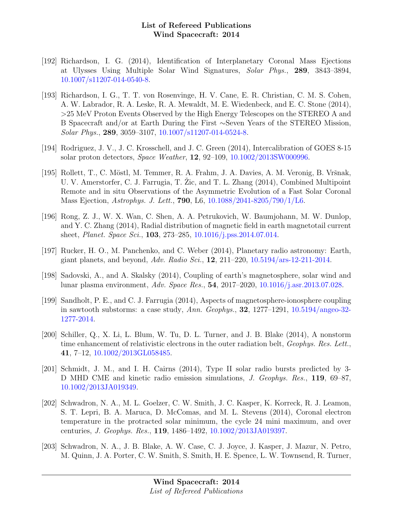- [192] Richardson, I. G. (2014), Identification of Interplanetary Coronal Mass Ejections at Ulysses Using Multiple Solar Wind Signatures, Solar Phys., 289, 3843–3894, [10.1007/s11207-014-0540-8.](http://dx.doi.org/10.1007/s11207-014-0540-8)
- [193] Richardson, I. G., T. T. von Rosenvinge, H. V. Cane, E. R. Christian, C. M. S. Cohen, A. W. Labrador, R. A. Leske, R. A. Mewaldt, M. E. Wiedenbeck, and E. C. Stone (2014), >25 MeV Proton Events Observed by the High Energy Telescopes on the STEREO A and B Spacecraft and/or at Earth During the First ∼Seven Years of the STEREO Mission, Solar Phys., 289, 3059–3107, [10.1007/s11207-014-0524-8.](http://dx.doi.org/10.1007/s11207-014-0524-8)
- [194] Rodriguez, J. V., J. C. Krosschell, and J. C. Green (2014), Intercalibration of GOES 8-15 solar proton detectors, Space Weather, 12, 92–109, [10.1002/2013SW000996.](http://dx.doi.org/10.1002/2013SW000996)
- [195] Rollett, T., C. Möstl, M. Temmer, R. A. Frahm, J. A. Davies, A. M. Veronig, B. Vršnak, U. V. Amerstorfer, C. J. Farrugia, T. Zic, and T. L. Zhang (2014), Combined Multipoint Remote and in situ Observations of the Asymmetric Evolution of a Fast Solar Coronal Mass Ejection, Astrophys. J. Lett., 790, L6, [10.1088/2041-8205/790/1/L6.](http://dx.doi.org/10.1088/2041-8205/790/1/L6)
- [196] Rong, Z. J., W. X. Wan, C. Shen, A. A. Petrukovich, W. Baumjohann, M. W. Dunlop, and Y. C. Zhang (2014), Radial distribution of magnetic field in earth magnetotail current sheet, Planet. Space Sci., 103, 273–285, [10.1016/j.pss.2014.07.014.](http://dx.doi.org/10.1016/j.pss.2014.07.014)
- [197] Rucker, H. O., M. Panchenko, and C. Weber (2014), Planetary radio astronomy: Earth, giant planets, and beyond, Adv. Radio Sci., **12**, 211–220, [10.5194/ars-12-211-2014.](http://dx.doi.org/10.5194/ars-12-211-2014)
- [198] Sadovski, A., and A. Skalsky (2014), Coupling of earth's magnetosphere, solar wind and lunar plasma environment, Adv. Space Res., 54, 2017–2020, [10.1016/j.asr.2013.07.028.](http://dx.doi.org/10.1016/j.asr.2013.07.028)
- [199] Sandholt, P. E., and C. J. Farrugia (2014), Aspects of magnetosphere-ionosphere coupling in sawtooth substorms: a case study,  $Ann. Geophys.$ , **32**, 1277–1291, [10.5194/angeo-32-](http://dx.doi.org/10.5194/angeo-32-1277-2014) [1277-2014.](http://dx.doi.org/10.5194/angeo-32-1277-2014)
- [200] Schiller, Q., X. Li, L. Blum, W. Tu, D. L. Turner, and J. B. Blake (2014), A nonstorm time enhancement of relativistic electrons in the outer radiation belt, *Geophys. Res. Lett.*, 41, 7–12, [10.1002/2013GL058485.](http://dx.doi.org/10.1002/2013GL058485)
- [201] Schmidt, J. M., and I. H. Cairns (2014), Type II solar radio bursts predicted by 3- D MHD CME and kinetic radio emission simulations, *J. Geophys. Res.*, 119, 69–87, [10.1002/2013JA019349.](http://dx.doi.org/10.1002/2013JA019349)
- [202] Schwadron, N. A., M. L. Goelzer, C. W. Smith, J. C. Kasper, K. Korreck, R. J. Leamon, S. T. Lepri, B. A. Maruca, D. McComas, and M. L. Stevens (2014), Coronal electron temperature in the protracted solar minimum, the cycle 24 mini maximum, and over centuries, J. Geophys. Res., 119, 1486–1492, [10.1002/2013JA019397.](http://dx.doi.org/10.1002/2013JA019397)
- [203] Schwadron, N. A., J. B. Blake, A. W. Case, C. J. Joyce, J. Kasper, J. Mazur, N. Petro, M. Quinn, J. A. Porter, C. W. Smith, S. Smith, H. E. Spence, L. W. Townsend, R. Turner,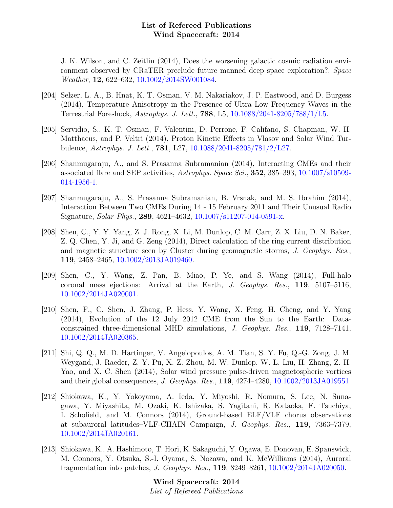J. K. Wilson, and C. Zeitlin (2014), Does the worsening galactic cosmic radiation environment observed by CRaTER preclude future manned deep space exploration?, Space Weather, 12, 622–632, [10.1002/2014SW001084.](http://dx.doi.org/10.1002/2014SW001084)

- [204] Selzer, L. A., B. Hnat, K. T. Osman, V. M. Nakariakov, J. P. Eastwood, and D. Burgess (2014), Temperature Anisotropy in the Presence of Ultra Low Frequency Waves in the Terrestrial Foreshock, Astrophys. J. Lett., 788, L5, [10.1088/2041-8205/788/1/L5.](http://dx.doi.org/10.1088/2041-8205/788/1/L5)
- [205] Servidio, S., K. T. Osman, F. Valentini, D. Perrone, F. Califano, S. Chapman, W. H. Matthaeus, and P. Veltri (2014), Proton Kinetic Effects in Vlasov and Solar Wind Turbulence, Astrophys. J. Lett., 781, L27, [10.1088/2041-8205/781/2/L27.](http://dx.doi.org/10.1088/2041-8205/781/2/L27)
- [206] Shanmugaraju, A., and S. Prasanna Subramanian (2014), Interacting CMEs and their associated flare and SEP activities, Astrophys. Space Sci., 352, 385–393, [10.1007/s10509-](http://dx.doi.org/10.1007/s10509-014-1956-1) [014-1956-1.](http://dx.doi.org/10.1007/s10509-014-1956-1)
- [207] Shanmugaraju, A., S. Prasanna Subramanian, B. Vrsnak, and M. S. Ibrahim (2014), Interaction Between Two CMEs During 14 - 15 February 2011 and Their Unusual Radio Signature, Solar Phys., 289, 4621–4632, [10.1007/s11207-014-0591-x.](http://dx.doi.org/10.1007/s11207-014-0591-x)
- [208] Shen, C., Y. Y. Yang, Z. J. Rong, X. Li, M. Dunlop, C. M. Carr, Z. X. Liu, D. N. Baker, Z. Q. Chen, Y. Ji, and G. Zeng (2014), Direct calculation of the ring current distribution and magnetic structure seen by Cluster during geomagnetic storms, J. Geophys. Res., 119, 2458–2465, [10.1002/2013JA019460.](http://dx.doi.org/10.1002/2013JA019460)
- [209] Shen, C., Y. Wang, Z. Pan, B. Miao, P. Ye, and S. Wang (2014), Full-halo coronal mass ejections: Arrival at the Earth, J. Geophys. Res., 119, 5107–5116, [10.1002/2014JA020001.](http://dx.doi.org/10.1002/2014JA020001)
- [210] Shen, F., C. Shen, J. Zhang, P. Hess, Y. Wang, X. Feng, H. Cheng, and Y. Yang (2014), Evolution of the 12 July 2012 CME from the Sun to the Earth: Dataconstrained three-dimensional MHD simulations, J. Geophys. Res., 119, 7128–7141, [10.1002/2014JA020365.](http://dx.doi.org/10.1002/2014JA020365)
- [211] Shi, Q. Q., M. D. Hartinger, V. Angelopoulos, A. M. Tian, S. Y. Fu, Q.-G. Zong, J. M. Weygand, J. Raeder, Z. Y. Pu, X. Z. Zhou, M. W. Dunlop, W. L. Liu, H. Zhang, Z. H. Yao, and X. C. Shen (2014), Solar wind pressure pulse-driven magnetospheric vortices and their global consequences, J. Geophys. Res., 119, 4274–4280, [10.1002/2013JA019551.](http://dx.doi.org/10.1002/2013JA019551)
- [212] Shiokawa, K., Y. Yokoyama, A. Ieda, Y. Miyoshi, R. Nomura, S. Lee, N. Sunagawa, Y. Miyashita, M. Ozaki, K. Ishizaka, S. Yagitani, R. Kataoka, F. Tsuchiya, I. Schofield, and M. Connors (2014), Ground-based ELF/VLF chorus observations at subauroral latitudes–VLF-CHAIN Campaign, J. Geophys. Res., 119, 7363–7379, [10.1002/2014JA020161.](http://dx.doi.org/10.1002/2014JA020161)
- [213] Shiokawa, K., A. Hashimoto, T. Hori, K. Sakaguchi, Y. Ogawa, E. Donovan, E. Spanswick, M. Connors, Y. Otsuka, S.-I. Oyama, S. Nozawa, and K. McWilliams (2014), Auroral fragmentation into patches, J. Geophys. Res., 119, 8249–8261, [10.1002/2014JA020050.](http://dx.doi.org/10.1002/2014JA020050)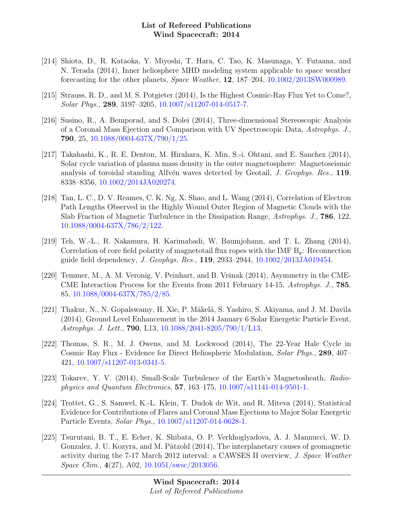- [214] Shiota, D., R. Kataoka, Y. Miyoshi, T. Hara, C. Tao, K. Masunaga, Y. Futaana, and N. Terada (2014), Inner heliosphere MHD modeling system applicable to space weather forecasting for the other planets, Space Weather, 12, 187–204, [10.1002/2013SW000989.](http://dx.doi.org/10.1002/2013SW000989)
- [215] Strauss, R. D., and M. S. Potgieter (2014), Is the Highest Cosmic-Ray Flux Yet to Come?, Solar Phys., 289, 3197–3205, [10.1007/s11207-014-0517-7.](http://dx.doi.org/10.1007/s11207-014-0517-7)
- [216] Susino, R., A. Bemporad, and S. Dolei (2014), Three-dimensional Stereoscopic Analysis of a Coronal Mass Ejection and Comparison with UV Spectroscopic Data, Astrophys. J., 790, 25, [10.1088/0004-637X/790/1/25.](http://dx.doi.org/10.1088/0004-637X/790/1/25)
- [217] Takahashi, K., R. E. Denton, M. Hirahara, K. Min, S.-i. Ohtani, and E. Sanchez (2014), Solar cycle variation of plasma mass density in the outer magnetosphere: Magnetoseismic analysis of toroidal standing Alfvén waves detected by Geotail, J. Geophys. Res.,  $119$ , 8338–8356, [10.1002/2014JA020274.](http://dx.doi.org/10.1002/2014JA020274)
- [218] Tan, L. C., D. V. Reames, C. K. Ng, X. Shao, and L. Wang (2014), Correlation of Electron Path Lengths Observed in the Highly Wound Outer Region of Magnetic Clouds with the Slab Fraction of Magnetic Turbulence in the Dissipation Range, Astrophys. J., 786, 122, [10.1088/0004-637X/786/2/122.](http://dx.doi.org/10.1088/0004-637X/786/2/122)
- [219] Teh, W.-L., R. Nakamura, H. Karimabadi, W. Baumjohann, and T. L. Zhang (2014), Correlation of core field polarity of magnetotail flux ropes with the IMF  $B_y$ : Reconnection guide field dependency, J. Geophys. Res., 119, 2933–2944, [10.1002/2013JA019454.](http://dx.doi.org/10.1002/2013JA019454)
- [220] Temmer, M., A. M. Veronig, V. Peinhart, and B. Vršnak  $(2014)$ , Asymmetry in the CME-CME Interaction Process for the Events from 2011 February 14-15, Astrophys. J., 785, 85, [10.1088/0004-637X/785/2/85.](http://dx.doi.org/10.1088/0004-637X/785/2/85)
- [221] Thakur, N., N. Gopalswamy, H. Xie, P. Mäkelä, S. Yashiro, S. Akiyama, and J. M. Davila (2014), Ground Level Enhancement in the 2014 January 6 Solar Energetic Particle Event, Astrophys. J. Lett., 790, L13, [10.1088/2041-8205/790/1/L13.](http://dx.doi.org/10.1088/2041-8205/790/1/L13)
- [222] Thomas, S. R., M. J. Owens, and M. Lockwood (2014), The 22-Year Hale Cycle in Cosmic Ray Flux - Evidence for Direct Heliospheric Modulation, Solar Phys., 289, 407– 421, [10.1007/s11207-013-0341-5.](http://dx.doi.org/10.1007/s11207-013-0341-5)
- [223] Tokarev, Y. V. (2014), Small-Scale Turbulence of the Earth's Magnetosheath, Radiophysics and Quantum Electronics, 57, 163–175, [10.1007/s11141-014-9501-1.](http://dx.doi.org/10.1007/s11141-014-9501-1)
- [224] Trottet, G., S. Samwel, K.-L. Klein, T. Dudok de Wit, and R. Miteva (2014), Statistical Evidence for Contributions of Flares and Coronal Mass Ejections to Major Solar Energetic Particle Events, Solar Phys., [10.1007/s11207-014-0628-1.](http://dx.doi.org/10.1007/s11207-014-0628-1)
- [225] Tsurutani, B. T., E. Echer, K. Shibata, O. P. Verkhoglyadova, A. J. Mannucci, W. D. Gonzalez, J. U. Kozyra, and M. Pätzold (2014), The interplanetary causes of geomagnetic activity during the 7-17 March 2012 interval: a CAWSES II overview, J. Space Weather Space Clim., 4(27), A02, [10.1051/swsc/2013056.](http://dx.doi.org/10.1051/swsc/2013056)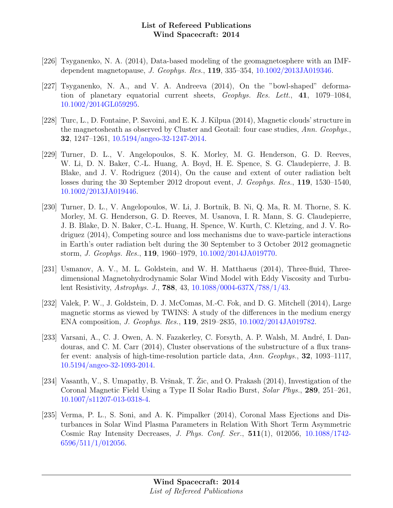- [226] Tsyganenko, N. A. (2014), Data-based modeling of the geomagnetosphere with an IMFdependent magnetopause, J. Geophys. Res., 119, 335–354, [10.1002/2013JA019346.](http://dx.doi.org/10.1002/2013JA019346)
- [227] Tsyganenko, N. A., and V. A. Andreeva (2014), On the "bowl-shaped" deformation of planetary equatorial current sheets, Geophys. Res. Lett., 41, 1079–1084, [10.1002/2014GL059295.](http://dx.doi.org/10.1002/2014GL059295)
- [228] Turc, L., D. Fontaine, P. Savoini, and E. K. J. Kilpua (2014), Magnetic clouds' structure in the magnetosheath as observed by Cluster and Geotail: four case studies, Ann. Geophys., 32, 1247–1261, [10.5194/angeo-32-1247-2014.](http://dx.doi.org/10.5194/angeo-32-1247-2014)
- [229] Turner, D. L., V. Angelopoulos, S. K. Morley, M. G. Henderson, G. D. Reeves, W. Li, D. N. Baker, C.-L. Huang, A. Boyd, H. E. Spence, S. G. Claudepierre, J. B. Blake, and J. V. Rodriguez (2014), On the cause and extent of outer radiation belt losses during the 30 September 2012 dropout event, J. Geophys. Res., 119, 1530–1540, [10.1002/2013JA019446.](http://dx.doi.org/10.1002/2013JA019446)
- [230] Turner, D. L., V. Angelopoulos, W. Li, J. Bortnik, B. Ni, Q. Ma, R. M. Thorne, S. K. Morley, M. G. Henderson, G. D. Reeves, M. Usanova, I. R. Mann, S. G. Claudepierre, J. B. Blake, D. N. Baker, C.-L. Huang, H. Spence, W. Kurth, C. Kletzing, and J. V. Rodriguez (2014), Competing source and loss mechanisms due to wave-particle interactions in Earth's outer radiation belt during the 30 September to 3 October 2012 geomagnetic storm, J. Geophys. Res., 119, 1960–1979, [10.1002/2014JA019770.](http://dx.doi.org/10.1002/2014JA019770)
- [231] Usmanov, A. V., M. L. Goldstein, and W. H. Matthaeus (2014), Three-fluid, Threedimensional Magnetohydrodynamic Solar Wind Model with Eddy Viscosity and Turbulent Resistivity, Astrophys. J., 788, 43, [10.1088/0004-637X/788/1/43.](http://dx.doi.org/10.1088/0004-637X/788/1/43)
- [232] Valek, P. W., J. Goldstein, D. J. McComas, M.-C. Fok, and D. G. Mitchell (2014), Large magnetic storms as viewed by TWINS: A study of the differences in the medium energy ENA composition, J. Geophys. Res., 119, 2819–2835, [10.1002/2014JA019782.](http://dx.doi.org/10.1002/2014JA019782)
- [233] Varsani, A., C. J. Owen, A. N. Fazakerley, C. Forsyth, A. P. Walsh, M. André, I. Dandouras, and C. M. Carr (2014), Cluster observations of the substructure of a flux transfer event: analysis of high-time-resolution particle data, Ann. Geophys., 32, 1093–1117, [10.5194/angeo-32-1093-2014.](http://dx.doi.org/10.5194/angeo-32-1093-2014)
- [234] Vasanth, V., S. Umapathy, B. Vršnak, T. Žic, and O. Prakash  $(2014)$ , Investigation of the Coronal Magnetic Field Using a Type II Solar Radio Burst, Solar Phys., 289, 251–261, [10.1007/s11207-013-0318-4.](http://dx.doi.org/10.1007/s11207-013-0318-4)
- [235] Verma, P. L., S. Soni, and A. K. Pimpalker (2014), Coronal Mass Ejections and Disturbances in Solar Wind Plasma Parameters in Relation With Short Term Asymmetric Cosmic Ray Intensity Decreases, J. Phys. Conf. Ser., 511(1), 012056, [10.1088/1742-](http://dx.doi.org/10.1088/1742-6596/511/1/012056) [6596/511/1/012056.](http://dx.doi.org/10.1088/1742-6596/511/1/012056)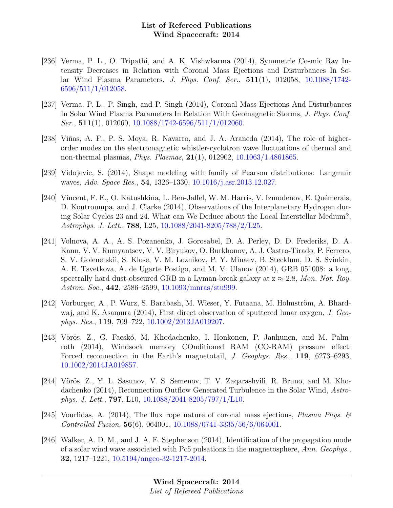- [236] Verma, P. L., O. Tripathi, and A. K. Vishwkarma (2014), Symmetrie Cosmic Ray Intensity Decreases in Relation with Coronal Mass Ejections and Disturbances In Solar Wind Plasma Parameters, J. Phys. Conf. Ser., 511(1), 012058, [10.1088/1742-](http://dx.doi.org/10.1088/1742-6596/511/1/012058) [6596/511/1/012058.](http://dx.doi.org/10.1088/1742-6596/511/1/012058)
- [237] Verma, P. L., P. Singh, and P. Singh (2014), Coronal Mass Ejections And Disturbances In Solar Wind Plasma Parameters In Relation With Geomagnetic Storms, J. Phys. Conf.  $Ser., 511(1), 012060, 10.1088/1742-6596/511/1/012060.$  $Ser., 511(1), 012060, 10.1088/1742-6596/511/1/012060.$
- [238] Viñas, A. F., P. S. Moya, R. Navarro, and J. A. Araneda (2014), The role of higherorder modes on the electromagnetic whistler-cyclotron wave fluctuations of thermal and non-thermal plasmas, Phys. Plasmas, 21(1), 012902, [10.1063/1.4861865.](http://dx.doi.org/10.1063/1.4861865)
- [239] Vidojevic, S. (2014), Shape modeling with family of Pearson distributions: Langmuir waves, Adv. Space Res., 54, 1326–1330, [10.1016/j.asr.2013.12.027.](http://dx.doi.org/10.1016/j.asr.2013.12.027)
- [240] Vincent, F. E., O. Katushkina, L. Ben-Jaffel, W. M. Harris, V. Izmodenov, E. Quémerais, D. Koutroumpa, and J. Clarke (2014), Observations of the Interplanetary Hydrogen during Solar Cycles 23 and 24. What can We Deduce about the Local Interstellar Medium?, Astrophys. J. Lett., 788, L25, [10.1088/2041-8205/788/2/L25.](http://dx.doi.org/10.1088/2041-8205/788/2/L25)
- [241] Volnova, A. A., A. S. Pozanenko, J. Gorosabel, D. A. Perley, D. D. Frederiks, D. A. Kann, V. V. Rumyantsev, V. V. Biryukov, O. Burkhonov, A. J. Castro-Tirado, P. Ferrero, S. V. Golenetskii, S. Klose, V. M. Loznikov, P. Y. Minaev, B. Stecklum, D. S. Svinkin, A. E. Tsvetkova, A. de Ugarte Postigo, and M. V. Ulanov (2014), GRB 051008: a long, spectrally hard dust-obscured GRB in a Lyman-break galaxy at  $z \approx 2.8$ , Mon. Not. Roy. Astron. Soc., 442, 2586–2599, [10.1093/mnras/stu999.](http://dx.doi.org/10.1093/mnras/stu999)
- [242] Vorburger, A., P. Wurz, S. Barabash, M. Wieser, Y. Futaana, M. Holmström, A. Bhardwaj, and K. Asamura (2014), First direct observation of sputtered lunar oxygen, J. Geophys. Res., 119, 709–722, [10.1002/2013JA019207.](http://dx.doi.org/10.1002/2013JA019207)
- [243] Vörös, Z., G. Facskó, M. Khodachenko, I. Honkonen, P. Janhunen, and M. Palmroth (2014), Windsock memory COnditioned RAM (CO-RAM) pressure effect: Forced reconnection in the Earth's magnetotail, J. Geophys. Res., 119, 6273–6293, [10.1002/2014JA019857.](http://dx.doi.org/10.1002/2014JA019857)
- [244] Vörös, Z., Y. L. Sasunov, V. S. Semenov, T. V. Zaqarashvili, R. Bruno, and M. Khodachenko (2014), Reconnection Outflow Generated Turbulence in the Solar Wind, Astrophys. J. Lett., 797, L10, [10.1088/2041-8205/797/1/L10.](http://dx.doi.org/10.1088/2041-8205/797/1/L10)
- [245] Vourlidas, A. (2014), The flux rope nature of coronal mass ejections, *Plasma Phys.*  $\mathcal{B}'$ Controlled Fusion, 56(6), 064001, [10.1088/0741-3335/56/6/064001.](http://dx.doi.org/10.1088/0741-3335/56/6/064001)
- [246] Walker, A. D. M., and J. A. E. Stephenson (2014), Identification of the propagation mode of a solar wind wave associated with Pc5 pulsations in the magnetosphere, Ann. Geophys., 32, 1217–1221, [10.5194/angeo-32-1217-2014.](http://dx.doi.org/10.5194/angeo-32-1217-2014)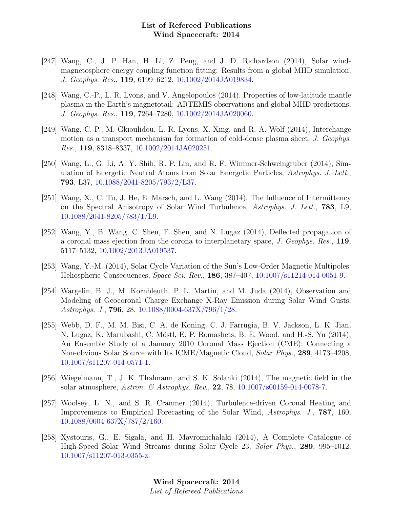- [247] Wang, C., J. P. Han, H. Li, Z. Peng, and J. D. Richardson (2014), Solar windmagnetosphere energy coupling function fitting: Results from a global MHD simulation, J. Geophys. Res., 119, 6199–6212, [10.1002/2014JA019834.](http://dx.doi.org/10.1002/2014JA019834)
- [248] Wang, C.-P., L. R. Lyons, and V. Angelopoulos (2014), Properties of low-latitude mantle plasma in the Earth's magnetotail: ARTEMIS observations and global MHD predictions, J. Geophys. Res., 119, 7264–7280, [10.1002/2014JA020060.](http://dx.doi.org/10.1002/2014JA020060)
- [249] Wang, C.-P., M. Gkioulidou, L. R. Lyons, X. Xing, and R. A. Wolf (2014), Interchange motion as a transport mechanism for formation of cold-dense plasma sheet, J. Geophys. Res., 119, 8318–8337, [10.1002/2014JA020251.](http://dx.doi.org/10.1002/2014JA020251)
- [250] Wang, L., G. Li, A. Y. Shih, R. P. Lin, and R. F. Wimmer-Schweingruber (2014), Simulation of Energetic Neutral Atoms from Solar Energetic Particles, Astrophys. J. Lett., 793, L37, [10.1088/2041-8205/793/2/L37.](http://dx.doi.org/10.1088/2041-8205/793/2/L37)
- [251] Wang, X., C. Tu, J. He, E. Marsch, and L. Wang (2014), The Influence of Intermittency on the Spectral Anisotropy of Solar Wind Turbulence, Astrophys. J. Lett., 783, L9, [10.1088/2041-8205/783/1/L9.](http://dx.doi.org/10.1088/2041-8205/783/1/L9)
- [252] Wang, Y., B. Wang, C. Shen, F. Shen, and N. Lugaz (2014), Deflected propagation of a coronal mass ejection from the corona to interplanetary space, J. Geophys. Res., 119, 5117–5132, [10.1002/2013JA019537.](http://dx.doi.org/10.1002/2013JA019537)
- [253] Wang, Y.-M. (2014), Solar Cycle Variation of the Sun's Low-Order Magnetic Multipoles: Heliospheric Consequences, Space Sci. Rev., 186, 387–407, [10.1007/s11214-014-0051-9.](http://dx.doi.org/10.1007/s11214-014-0051-9)
- [254] Wargelin, B. J., M. Kornbleuth, P. L. Martin, and M. Juda (2014), Observation and Modeling of Geocoronal Charge Exchange X-Ray Emission during Solar Wind Gusts, Astrophys. J., 796, 28, [10.1088/0004-637X/796/1/28.](http://dx.doi.org/10.1088/0004-637X/796/1/28)
- [255] Webb, D. F., M. M. Bisi, C. A. de Koning, C. J. Farrugia, B. V. Jackson, L. K. Jian, N. Lugaz, K. Marubashi, C. Möstl, E. P. Romashets, B. E. Wood, and H.-S. Yu (2014), An Ensemble Study of a January 2010 Coronal Mass Ejection (CME): Connecting a Non-obvious Solar Source with Its ICME/Magnetic Cloud, Solar Phys., 289, 4173–4208, [10.1007/s11207-014-0571-1.](http://dx.doi.org/10.1007/s11207-014-0571-1)
- [256] Wiegelmann, T., J. K. Thalmann, and S. K. Solanki (2014), The magnetic field in the solar atmosphere, Astron. & Astrophys. Rev., 22, 78,  $10.1007/800159-014-0078-7$ .
- [257] Woolsey, L. N., and S. R. Cranmer (2014), Turbulence-driven Coronal Heating and Improvements to Empirical Forecasting of the Solar Wind, Astrophys. J., 787, 160, [10.1088/0004-637X/787/2/160.](http://dx.doi.org/10.1088/0004-637X/787/2/160)
- [258] Xystouris, G., E. Sigala, and H. Mavromichalaki (2014), A Complete Catalogue of High-Speed Solar Wind Streams during Solar Cycle 23, Solar Phys., 289, 995–1012, [10.1007/s11207-013-0355-z.](http://dx.doi.org/10.1007/s11207-013-0355-z)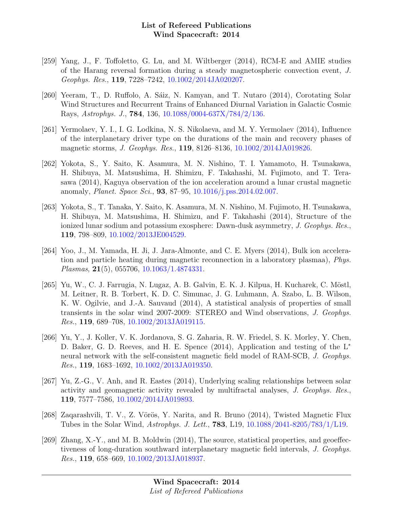- [259] Yang, J., F. Toffoletto, G. Lu, and M. Wiltberger (2014), RCM-E and AMIE studies of the Harang reversal formation during a steady magnetospheric convection event, J. Geophys. Res., 119, 7228–7242, [10.1002/2014JA020207.](http://dx.doi.org/10.1002/2014JA020207)
- [260] Yeeram, T., D. Ruffolo, A. Sáiz, N. Kamyan, and T. Nutaro (2014), Corotating Solar Wind Structures and Recurrent Trains of Enhanced Diurnal Variation in Galactic Cosmic Rays, Astrophys. J., 784, 136, [10.1088/0004-637X/784/2/136.](http://dx.doi.org/10.1088/0004-637X/784/2/136)
- [261] Yermolaev, Y. I., I. G. Lodkina, N. S. Nikolaeva, and M. Y. Yermolaev (2014), Influence of the interplanetary driver type on the durations of the main and recovery phases of magnetic storms, J. Geophys. Res., 119, 8126–8136, [10.1002/2014JA019826.](http://dx.doi.org/10.1002/2014JA019826)
- [262] Yokota, S., Y. Saito, K. Asamura, M. N. Nishino, T. I. Yamamoto, H. Tsunakawa, H. Shibuya, M. Matsushima, H. Shimizu, F. Takahashi, M. Fujimoto, and T. Terasawa (2014), Kaguya observation of the ion acceleration around a lunar crustal magnetic anomaly, Planet. Space Sci., 93, 87–95, [10.1016/j.pss.2014.02.007.](http://dx.doi.org/10.1016/j.pss.2014.02.007)
- [263] Yokota, S., T. Tanaka, Y. Saito, K. Asamura, M. N. Nishino, M. Fujimoto, H. Tsunakawa, H. Shibuya, M. Matsushima, H. Shimizu, and F. Takahashi (2014), Structure of the ionized lunar sodium and potassium exosphere: Dawn-dusk asymmetry, J. Geophys. Res., 119, 798–809, [10.1002/2013JE004529.](http://dx.doi.org/10.1002/2013JE004529)
- [264] Yoo, J., M. Yamada, H. Ji, J. Jara-Almonte, and C. E. Myers (2014), Bulk ion acceleration and particle heating during magnetic reconnection in a laboratory plasmaa), Phys. Plasmas, 21(5), 055706, [10.1063/1.4874331.](http://dx.doi.org/10.1063/1.4874331)
- [265] Yu, W., C. J. Farrugia, N. Lugaz, A. B. Galvin, E. K. J. Kilpua, H. Kucharek, C. Möstl, M. Leitner, R. B. Torbert, K. D. C. Simunac, J. G. Luhmann, A. Szabo, L. B. Wilson, K. W. Ogilvie, and J.-A. Sauvaud (2014), A statistical analysis of properties of small transients in the solar wind 2007-2009: STEREO and Wind observations, J. Geophys. Res., 119, 689–708, [10.1002/2013JA019115.](http://dx.doi.org/10.1002/2013JA019115)
- [266] Yu, Y., J. Koller, V. K. Jordanova, S. G. Zaharia, R. W. Friedel, S. K. Morley, Y. Chen, D. Baker, G. D. Reeves, and H. E. Spence (2014), Application and testing of the L<sup>∗</sup> neural network with the self-consistent magnetic field model of RAM-SCB, J. Geophys. Res., 119, 1683–1692, [10.1002/2013JA019350.](http://dx.doi.org/10.1002/2013JA019350)
- [267] Yu, Z.-G., V. Anh, and R. Eastes (2014), Underlying scaling relationships between solar activity and geomagnetic activity revealed by multifractal analyses, J. Geophys. Res., 119, 7577–7586, [10.1002/2014JA019893.](http://dx.doi.org/10.1002/2014JA019893)
- [268] Zaqarashvili, T. V., Z. Vörös, Y. Narita, and R. Bruno (2014), Twisted Magnetic Flux Tubes in the Solar Wind, Astrophys. J. Lett., 783, L19, [10.1088/2041-8205/783/1/L19.](http://dx.doi.org/10.1088/2041-8205/783/1/L19)
- [269] Zhang, X.-Y., and M. B. Moldwin (2014), The source, statistical properties, and geoeffectiveness of long-duration southward interplanetary magnetic field intervals, J. Geophys. Res., 119, 658–669, [10.1002/2013JA018937.](http://dx.doi.org/10.1002/2013JA018937)